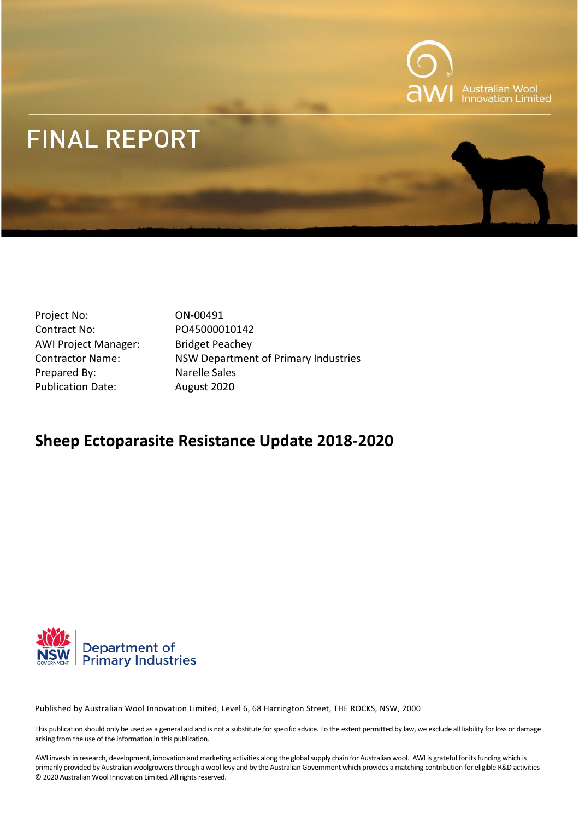

# **FINAL REPORT**

- Project No: 0N-00491 Contract No: PO45000010142 AWI Project Manager: Bridget Peachey Prepared By: Narelle Sales Publication Date: August 2020
- Contractor Name: NSW Department of Primary Industries

## **Sheep Ectoparasite Resistance Update 2018-2020**



Published by Australian Wool Innovation Limited, Level 6, 68 Harrington Street, THE ROCKS, NSW, 2000

This publication should only be used as a general aid and is not a substitute for specific advice. To the extent permitted by law, we exclude all liability for loss or damage arising from the use of the information in this publication.

AWI invests in research, development, innovation and marketing activities along the global supply chain for Australian wool. AWI is grateful for its funding which is primarily provided by Australian woolgrowers through a wool levy and by the Australian Government which provides a matching contribution for eligible R&D activities © 2020 Australian Wool Innovation Limited. All rights reserved.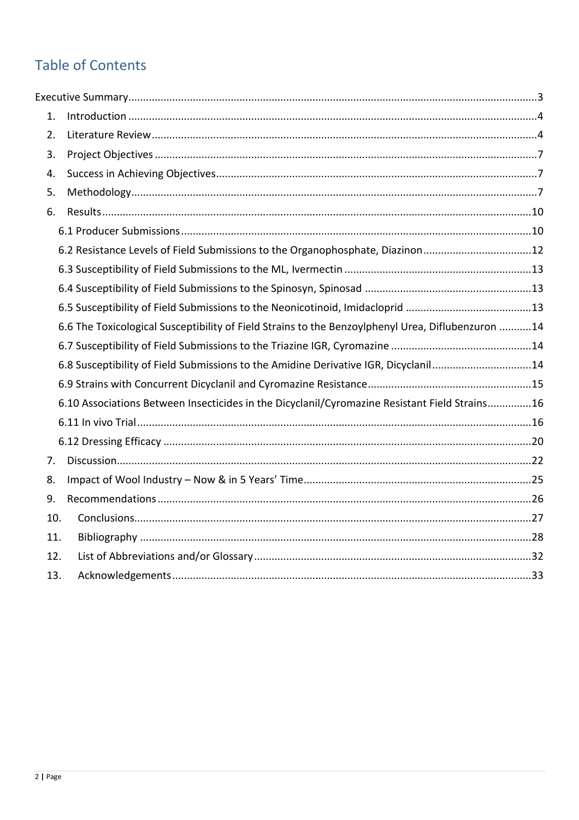## **Table of Contents**

| 1. |                                                                                                   |  |
|----|---------------------------------------------------------------------------------------------------|--|
| 2. |                                                                                                   |  |
| 3. |                                                                                                   |  |
| 4. |                                                                                                   |  |
| 5. |                                                                                                   |  |
| 6. |                                                                                                   |  |
|    |                                                                                                   |  |
|    | 6.2 Resistance Levels of Field Submissions to the Organophosphate, Diazinon12                     |  |
|    |                                                                                                   |  |
|    |                                                                                                   |  |
|    | 6.5 Susceptibility of Field Submissions to the Neonicotinoid, Imidacloprid 13                     |  |
|    | 6.6 The Toxicological Susceptibility of Field Strains to the Benzoylphenyl Urea, Diflubenzuron 14 |  |
|    |                                                                                                   |  |
|    | 6.8 Susceptibility of Field Submissions to the Amidine Derivative IGR, Dicyclanil14               |  |
|    |                                                                                                   |  |
|    | 6.10 Associations Between Insecticides in the Dicyclanil/Cyromazine Resistant Field Strains16     |  |
|    |                                                                                                   |  |
|    |                                                                                                   |  |
| 7. |                                                                                                   |  |
| 8. |                                                                                                   |  |
| 9. |                                                                                                   |  |
|    | 10.                                                                                               |  |
|    | 11.                                                                                               |  |
|    | 12.                                                                                               |  |
|    | 13.                                                                                               |  |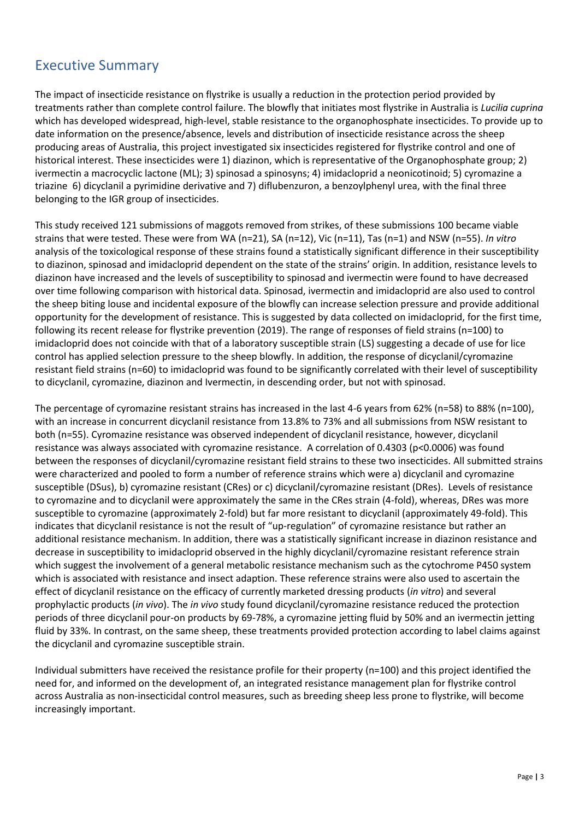### <span id="page-2-0"></span>Executive Summary

The impact of insecticide resistance on flystrike is usually a reduction in the protection period provided by treatments rather than complete control failure. The blowfly that initiates most flystrike in Australia is *Lucilia cuprina*  which has developed widespread, high-level, stable resistance to the organophosphate insecticides. To provide up to date information on the presence/absence, levels and distribution of insecticide resistance across the sheep producing areas of Australia, this project investigated six insecticides registered for flystrike control and one of historical interest. These insecticides were 1) diazinon, which is representative of the Organophosphate group; 2) ivermectin a macrocyclic lactone (ML); 3) spinosad a spinosyns; 4) imidacloprid a neonicotinoid; 5) cyromazine a triazine 6) dicyclanil a pyrimidine derivative and 7) diflubenzuron, a benzoylphenyl urea, with the final three belonging to the IGR group of insecticides.

This study received 121 submissions of maggots removed from strikes, of these submissions 100 became viable strains that were tested. These were from WA (n=21), SA (n=12), Vic (n=11), Tas (n=1) and NSW (n=55). *In vitro* analysis of the toxicological response of these strains found a statistically significant difference in their susceptibility to diazinon, spinosad and imidacloprid dependent on the state of the strains' origin. In addition, resistance levels to diazinon have increased and the levels of susceptibility to spinosad and ivermectin were found to have decreased over time following comparison with historical data. Spinosad, ivermectin and imidacloprid are also used to control the sheep biting louse and incidental exposure of the blowfly can increase selection pressure and provide additional opportunity for the development of resistance. This is suggested by data collected on imidacloprid, for the first time, following its recent release for flystrike prevention (2019). The range of responses of field strains (n=100) to imidacloprid does not coincide with that of a laboratory susceptible strain (LS) suggesting a decade of use for lice control has applied selection pressure to the sheep blowfly. In addition, the response of dicyclanil/cyromazine resistant field strains (n=60) to imidacloprid was found to be significantly correlated with their level of susceptibility to dicyclanil, cyromazine, diazinon and Ivermectin, in descending order, but not with spinosad.

The percentage of cyromazine resistant strains has increased in the last 4-6 years from 62% (n=58) to 88% (n=100), with an increase in concurrent dicyclanil resistance from 13.8% to 73% and all submissions from NSW resistant to both (n=55). Cyromazine resistance was observed independent of dicyclanil resistance, however, dicyclanil resistance was always associated with cyromazine resistance. A correlation of 0.4303 (p<0.0006) was found between the responses of dicyclanil/cyromazine resistant field strains to these two insecticides. All submitted strains were characterized and pooled to form a number of reference strains which were a) dicyclanil and cyromazine susceptible (DSus), b) cyromazine resistant (CRes) or c) dicyclanil/cyromazine resistant (DRes). Levels of resistance to cyromazine and to dicyclanil were approximately the same in the CRes strain (4-fold), whereas, DRes was more susceptible to cyromazine (approximately 2-fold) but far more resistant to dicyclanil (approximately 49-fold). This indicates that dicyclanil resistance is not the result of "up-regulation" of cyromazine resistance but rather an additional resistance mechanism. In addition, there was a statistically significant increase in diazinon resistance and decrease in susceptibility to imidacloprid observed in the highly dicyclanil/cyromazine resistant reference strain which suggest the involvement of a general metabolic resistance mechanism such as the cytochrome P450 system which is associated with resistance and insect adaption. These reference strains were also used to ascertain the effect of dicyclanil resistance on the efficacy of currently marketed dressing products (*in vitro*) and several prophylactic products (*in vivo*). The *in vivo* study found dicyclanil/cyromazine resistance reduced the protection periods of three dicyclanil pour-on products by 69-78%, a cyromazine jetting fluid by 50% and an ivermectin jetting fluid by 33%. In contrast, on the same sheep, these treatments provided protection according to label claims against the dicyclanil and cyromazine susceptible strain.

Individual submitters have received the resistance profile for their property (n=100) and this project identified the need for, and informed on the development of, an integrated resistance management plan for flystrike control across Australia as non-insecticidal control measures, such as breeding sheep less prone to flystrike, will become increasingly important.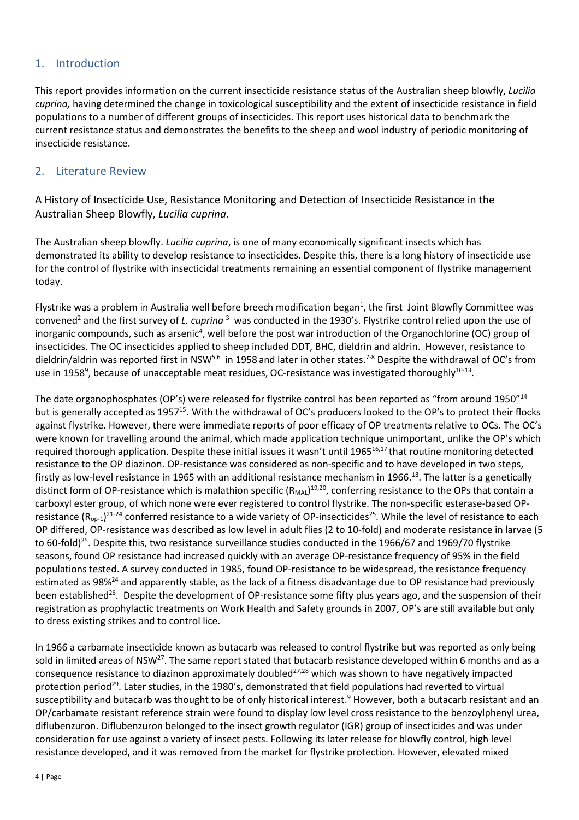#### <span id="page-3-0"></span>1. Introduction

This report provides information on the current insecticide resistance status of the Australian sheep blowfly, *Lucilia cuprina,* having determined the change in toxicological susceptibility and the extent of insecticide resistance in field populations to a number of different groups of insecticides. This report uses historical data to benchmark the current resistance status and demonstrates the benefits to the sheep and wool industry of periodic monitoring of insecticide resistance.

#### <span id="page-3-1"></span>2. Literature Review

A History of Insecticide Use, Resistance Monitoring and Detection of Insecticide Resistance in the Australian Sheep Blowfly, *Lucilia cuprina*.

The Australian sheep blowfly. *Lucilia cuprina*, is one of many economically significant insects which has demonstrated its ability to develop resistance to insecticides. Despite this, there is a long history of insecticide use for the control of flystrike with insecticidal treatments remaining an essential component of flystrike management today.

Flystrike was a problem in Australia well before breech modification began<sup>1</sup>, the first Joint Blowfly Committee was convened<sup>2</sup> and the first survey of *L. cuprina*<sup>3</sup> was conducted in the 1930's. Flystrike control relied upon the use of inorganic compounds, such as arsenic<sup>4</sup>, well before the post war introduction of the Organochlorine (OC) group of insecticides. The OC insecticides applied to sheep included DDT, BHC, dieldrin and aldrin. However, resistance to dieldrin/aldrin was reported first in NSW<sup>5,6</sup> in 1958 and later in other states.<sup>7-8</sup> Despite the withdrawal of OC's from use in 1958<sup>9</sup>, because of unacceptable meat residues, OC-resistance was investigated thoroughly $^{10\text{-}13}$ .

The date organophosphates (OP's) were released for flystrike control has been reported as "from around 1950"<sup>14</sup> but is generally accepted as 1957<sup>15</sup>. With the withdrawal of OC's producers looked to the OP's to protect their flocks against flystrike. However, there were immediate reports of poor efficacy of OP treatments relative to OCs. The OC's were known for travelling around the animal, which made application technique unimportant, unlike the OP's which required thorough application. Despite these initial issues it wasn't until 1965 $^{16,17}$  that routine monitoring detected resistance to the OP diazinon. OP-resistance was considered as non-specific and to have developed in two steps, firstly as low-level resistance in 1965 with an additional resistance mechanism in 1966.<sup>18</sup>. The latter is a genetically distinct form of OP-resistance which is malathion specific (R<sub>MAL</sub>)<sup>19,20</sup>, conferring resistance to the OPs that contain a carboxyl ester group, of which none were ever registered to control flystrike. The non-specific esterase-based OPresistance (R<sub>op-1</sub>)<sup>21-24</sup> conferred resistance to a wide variety of OP-insecticides<sup>25</sup>. While the level of resistance to each OP differed, OP-resistance was described as low level in adult flies (2 to 10-fold) and moderate resistance in larvae (5 to 60-fold)<sup>25</sup>. Despite this, two resistance surveillance studies conducted in the 1966/67 and 1969/70 flystrike seasons, found OP resistance had increased quickly with an average OP-resistance frequency of 95% in the field populations tested. A survey conducted in 1985, found OP-resistance to be widespread, the resistance frequency estimated as 98%<sup>24</sup> and apparently stable, as the lack of a fitness disadvantage due to OP resistance had previously been established<sup>26</sup>. Despite the development of OP-resistance some fifty plus years ago, and the suspension of their registration as prophylactic treatments on Work Health and Safety grounds in 2007, OP's are still available but only to dress existing strikes and to control lice.

In 1966 a carbamate insecticide known as butacarb was released to control flystrike but was reported as only being sold in limited areas of NSW<sup>27</sup>. The same report stated that butacarb resistance developed within 6 months and as a consequence resistance to diazinon approximately doubled $^{27,28}$  which was shown to have negatively impacted protection period<sup>29</sup>. Later studies, in the 1980's, demonstrated that field populations had reverted to virtual susceptibility and butacarb was thought to be of only historical interest.<sup>9</sup> However, both a butacarb resistant and an OP/carbamate resistant reference strain were found to display low level cross resistance to the benzoylphenyl urea, diflubenzuron. Diflubenzuron belonged to the insect growth regulator (IGR) group of insecticides and was under consideration for use against a variety of insect pests. Following its later release for blowfly control, high level resistance developed, and it was removed from the market for flystrike protection. However, elevated mixed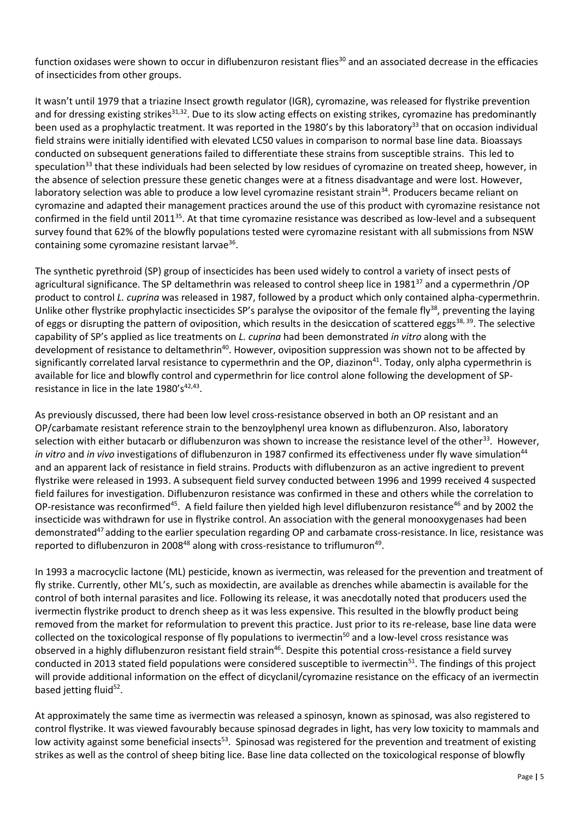function oxidases were shown to occur in diflubenzuron resistant flies<sup>30</sup> and an associated decrease in the efficacies of insecticides from other groups.

It wasn't until 1979 that a triazine Insect growth regulator (IGR), cyromazine, was released for flystrike prevention and for dressing existing strikes<sup>31,32</sup>. Due to its slow acting effects on existing strikes, cyromazine has predominantly been used as a prophylactic treatment. It was reported in the 1980's by this laboratory<sup>33</sup> that on occasion individual field strains were initially identified with elevated LC50 values in comparison to normal base line data. Bioassays conducted on subsequent generations failed to differentiate these strains from susceptible strains. This led to speculation<sup>33</sup> that these individuals had been selected by low residues of cyromazine on treated sheep, however, in the absence of selection pressure these genetic changes were at a fitness disadvantage and were lost. However, laboratory selection was able to produce a low level cyromazine resistant strain<sup>34</sup>. Producers became reliant on cyromazine and adapted their management practices around the use of this product with cyromazine resistance not confirmed in the field until 2011<sup>35</sup>. At that time cyromazine resistance was described as low-level and a subsequent survey found that 62% of the blowfly populations tested were cyromazine resistant with all submissions from NSW containing some cyromazine resistant larvae<sup>36</sup>.

The synthetic pyrethroid (SP) group of insecticides has been used widely to control a variety of insect pests of agricultural significance. The SP deltamethrin was released to control sheep lice in 1981<sup>37</sup> and a cypermethrin /OP product to control *L. cuprina* was released in 1987, followed by a product which only contained alpha-cypermethrin. Unlike other flystrike prophylactic insecticides SP's paralyse the ovipositor of the female fly<sup>38</sup>, preventing the laying of eggs or disrupting the pattern of oviposition, which results in the desiccation of scattered eggs<sup>38, 39</sup>. The selective capability of SP's applied as lice treatments on *L. cuprina* had been demonstrated *in vitro* along with the development of resistance to deltamethrin<sup>40</sup>. However, oviposition suppression was shown not to be affected by significantly correlated larval resistance to cypermethrin and the OP, diazinon<sup>41</sup>. Today, only alpha cypermethrin is available for lice and blowfly control and cypermethrin for lice control alone following the development of SPresistance in lice in the late  $1980's^{42,43}$ .

As previously discussed, there had been low level cross-resistance observed in both an OP resistant and an OP/carbamate resistant reference strain to the benzoylphenyl urea known as diflubenzuron. Also, laboratory selection with either butacarb or diflubenzuron was shown to increase the resistance level of the other<sup>33</sup>. However, *in vitro* and *in vivo* investigations of diflubenzuron in 1987 confirmed its effectiveness under fly wave simulation<sup>44</sup> and an apparent lack of resistance in field strains. Products with diflubenzuron as an active ingredient to prevent flystrike were released in 1993. A subsequent field survey conducted between 1996 and 1999 received 4 suspected field failures for investigation. Diflubenzuron resistance was confirmed in these and others while the correlation to OP-resistance was reconfirmed<sup>45</sup>. A field failure then yielded high level diflubenzuron resistance<sup>46</sup> and by 2002 the insecticide was withdrawn for use in flystrike control. An association with the general monooxygenases had been demonstrated<sup>47</sup> adding to the earlier speculation regarding OP and carbamate cross-resistance. In lice, resistance was reported to diflubenzuron in 2008 $48$  along with cross-resistance to triflumuron $49$ .

In 1993 a macrocyclic lactone (ML) pesticide, known as ivermectin, was released for the prevention and treatment of fly strike. Currently, other ML's, such as moxidectin, are available as drenches while abamectin is available for the control of both internal parasites and lice. Following its release, it was anecdotally noted that producers used the ivermectin flystrike product to drench sheep as it was less expensive. This resulted in the blowfly product being removed from the market for reformulation to prevent this practice. Just prior to its re-release, base line data were collected on the toxicological response of fly populations to ivermectin<sup>50</sup> and a low-level cross resistance was observed in a highly diflubenzuron resistant field strain<sup>46</sup>. Despite this potential cross-resistance a field survey conducted in 2013 stated field populations were considered susceptible to ivermectin<sup>51</sup>. The findings of this project will provide additional information on the effect of dicyclanil/cyromazine resistance on the efficacy of an ivermectin based jetting fluid<sup>52</sup>.

At approximately the same time as ivermectin was released a spinosyn, known as spinosad, was also registered to control flystrike. It was viewed favourably because spinosad degrades in light, has very low toxicity to mammals and low activity against some beneficial insects<sup>53</sup>. Spinosad was registered for the prevention and treatment of existing strikes as well as the control of sheep biting lice. Base line data collected on the toxicological response of blowfly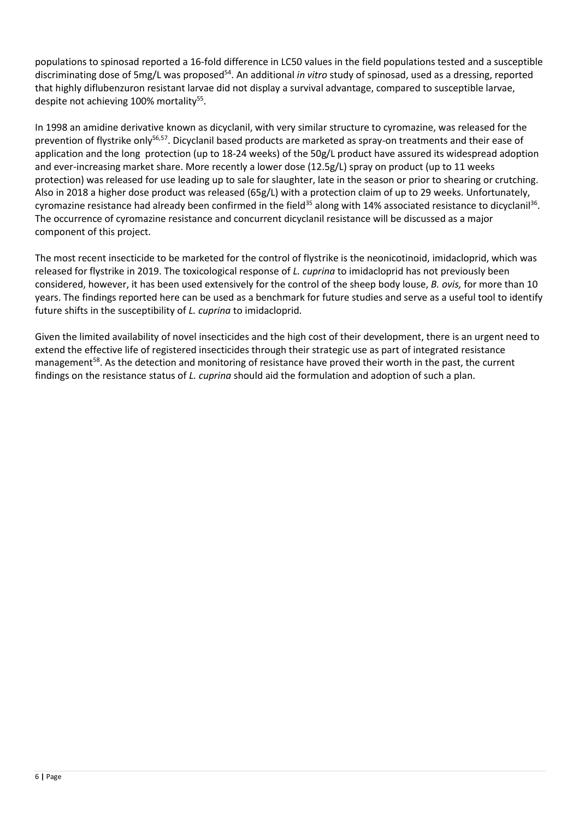populations to spinosad reported a 16-fold difference in LC50 values in the field populations tested and a susceptible discriminating dose of 5mg/L was proposed<sup>54</sup>. An additional *in vitro* study of spinosad, used as a dressing, reported that highly diflubenzuron resistant larvae did not display a survival advantage, compared to susceptible larvae, despite not achieving 100% mortality 55 .

In 1998 an amidine derivative known as dicyclanil, with very similar structure to cyromazine, was released for the prevention of flystrike only<sup>56,57</sup>. Dicyclanil based products are marketed as spray-on treatments and their ease of application and the long protection (up to 18-24 weeks) of the 50g/L product have assured its widespread adoption and ever-increasing market share. More recently a lower dose (12.5g/L) spray on product (up to 11 weeks protection) was released for use leading up to sale for slaughter, late in the season or prior to shearing or crutching. Also in 2018 a higher dose product was released (65g/L) with a protection claim of up to 29 weeks. Unfortunately, cyromazine resistance had already been confirmed in the field<sup>35</sup> along with 14% associated resistance to dicyclanil<sup>36</sup>. The occurrence of cyromazine resistance and concurrent dicyclanil resistance will be discussed as a major component of this project.

The most recent insecticide to be marketed for the control of flystrike is the neonicotinoid, imidacloprid, which was released for flystrike in 2019. The toxicological response of *L. cuprina* to imidacloprid has not previously been considered, however, it has been used extensively for the control of the sheep body louse, *B. ovis,* for more than 10 years. The findings reported here can be used as a benchmark for future studies and serve as a useful tool to identify future shifts in the susceptibility of *L. cuprina* to imidacloprid.

Given the limited availability of novel insecticides and the high cost of their development, there is an urgent need to extend the effective life of registered insecticides through their strategic use as part of integrated resistance management<sup>58</sup>. As the detection and monitoring of resistance have proved their worth in the past, the current findings on the resistance status of *L. cuprina* should aid the formulation and adoption of such a plan.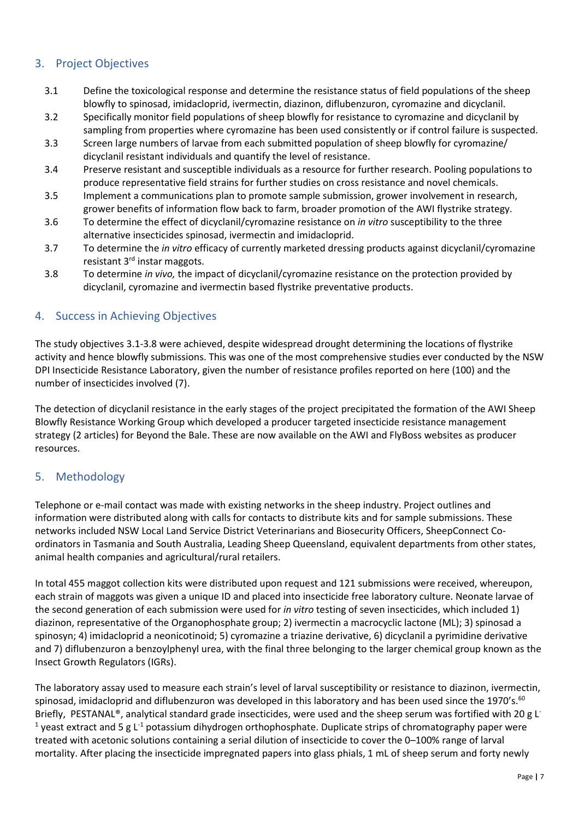#### <span id="page-6-0"></span>3. Project Objectives

- 3.1 Define the toxicological response and determine the resistance status of field populations of the sheep blowfly to spinosad, imidacloprid, ivermectin, diazinon, diflubenzuron, cyromazine and dicyclanil.
- 3.2 Specifically monitor field populations of sheep blowfly for resistance to cyromazine and dicyclanil by sampling from properties where cyromazine has been used consistently or if control failure is suspected.
- 3.3 Screen large numbers of larvae from each submitted population of sheep blowfly for cyromazine/ dicyclanil resistant individuals and quantify the level of resistance.
- 3.4 Preserve resistant and susceptible individuals as a resource for further research. Pooling populations to produce representative field strains for further studies on cross resistance and novel chemicals.
- 3.5 Implement a communications plan to promote sample submission, grower involvement in research, grower benefits of information flow back to farm, broader promotion of the AWI flystrike strategy.
- 3.6 To determine the effect of dicyclanil/cyromazine resistance on *in vitro* susceptibility to the three alternative insecticides spinosad, ivermectin and imidacloprid.
- 3.7 To determine the *in vitro* efficacy of currently marketed dressing products against dicyclanil/cyromazine resistant 3<sup>rd</sup> instar maggots.
- 3.8 To determine *in vivo,* the impact of dicyclanil/cyromazine resistance on the protection provided by dicyclanil, cyromazine and ivermectin based flystrike preventative products.

#### <span id="page-6-1"></span>4. Success in Achieving Objectives

The study objectives 3.1-3.8 were achieved, despite widespread drought determining the locations of flystrike activity and hence blowfly submissions. This was one of the most comprehensive studies ever conducted by the NSW DPI Insecticide Resistance Laboratory, given the number of resistance profiles reported on here (100) and the number of insecticides involved (7).

The detection of dicyclanil resistance in the early stages of the project precipitated the formation of the AWI Sheep Blowfly Resistance Working Group which developed a producer targeted insecticide resistance management strategy (2 articles) for Beyond the Bale. These are now available on the AWI and FlyBoss websites as producer resources.

#### <span id="page-6-2"></span>5. Methodology

Telephone or e-mail contact was made with existing networks in the sheep industry. Project outlines and information were distributed along with calls for contacts to distribute kits and for sample submissions. These networks included NSW Local Land Service District Veterinarians and Biosecurity Officers, SheepConnect Coordinators in Tasmania and South Australia, Leading Sheep Queensland, equivalent departments from other states, animal health companies and agricultural/rural retailers.

In total 455 maggot collection kits were distributed upon request and 121 submissions were received, whereupon, each strain of maggots was given a unique ID and placed into insecticide free laboratory culture. Neonate larvae of the second generation of each submission were used for *in vitro* testing of seven insecticides, which included 1) diazinon, representative of the Organophosphate group; 2) ivermectin a macrocyclic lactone (ML); 3) spinosad a spinosyn; 4) imidacloprid a neonicotinoid; 5) cyromazine a triazine derivative, 6) dicyclanil a pyrimidine derivative and 7) diflubenzuron a benzoylphenyl urea, with the final three belonging to the larger chemical group known as the Insect Growth Regulators (IGRs).

The laboratory assay used to measure each strain's level of larval susceptibility or resistance to diazinon, ivermectin, spinosad, imidacloprid and diflubenzuron was developed in this laboratory and has been used since the 1970's.<sup>60</sup> Briefly, PESTANAL®, analytical standard grade insecticides, were used and the sheep serum was fortified with 20 g L<sup>-</sup> <sup>1</sup> yeast extract and 5 g L<sup>-1</sup> potassium dihydrogen orthophosphate. Duplicate strips of chromatography paper were treated with acetonic solutions containing a serial dilution of insecticide to cover the 0–100% range of larval mortality. After placing the insecticide impregnated papers into glass phials, 1 mL of sheep serum and forty newly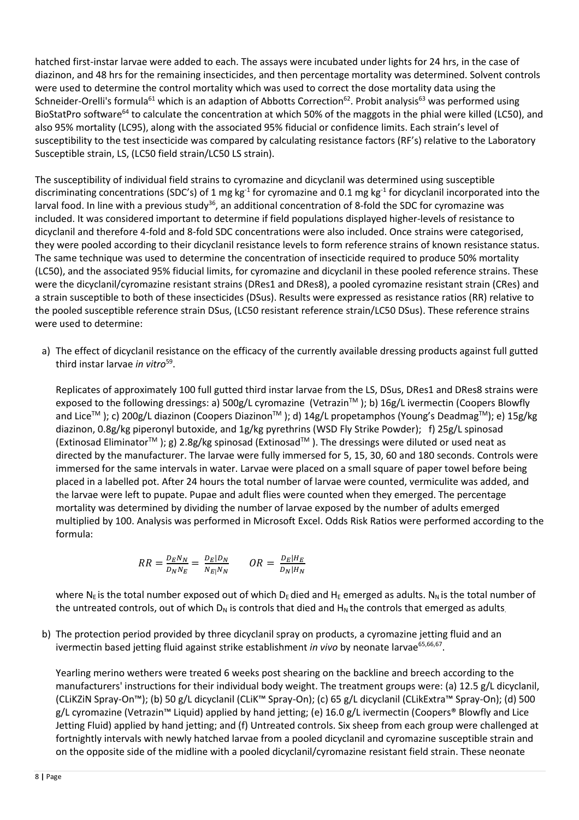hatched first-instar larvae were added to each. The assays were incubated under lights for 24 hrs, in the case of diazinon, and 48 hrs for the remaining insecticides, and then percentage mortality was determined. Solvent controls were used to determine the control mortality which was used to correct the dose mortality data using the Schneider-Orelli's formula<sup>61</sup> which is an adaption of Abbotts Correction<sup>62</sup>. Probit analysis<sup>63</sup> was performed using BioStatPro software<sup>64</sup> to calculate the concentration at which 50% of the maggots in the phial were killed (LC50), and also 95% mortality (LC95), along with the associated 95% fiducial or confidence limits. Each strain's level of susceptibility to the test insecticide was compared by calculating resistance factors (RF's) relative to the Laboratory Susceptible strain, LS, (LC50 field strain/LC50 LS strain).

The susceptibility of individual field strains to cyromazine and dicyclanil was determined using susceptible discriminating concentrations (SDC's) of 1 mg kg<sup>-1</sup> for cyromazine and 0.1 mg kg<sup>-1</sup> for dicyclanil incorporated into the larval food. In line with a previous study<sup>36</sup>, an additional concentration of 8-fold the SDC for cyromazine was included. It was considered important to determine if field populations displayed higher-levels of resistance to dicyclanil and therefore 4-fold and 8-fold SDC concentrations were also included. Once strains were categorised, they were pooled according to their dicyclanil resistance levels to form reference strains of known resistance status. The same technique was used to determine the concentration of insecticide required to produce 50% mortality (LC50), and the associated 95% fiducial limits, for cyromazine and dicyclanil in these pooled reference strains. These were the dicyclanil/cyromazine resistant strains (DRes1 and DRes8), a pooled cyromazine resistant strain (CRes) and a strain susceptible to both of these insecticides (DSus). Results were expressed as resistance ratios (RR) relative to the pooled susceptible reference strain DSus, (LC50 resistant reference strain/LC50 DSus). These reference strains were used to determine:

a) The effect of dicyclanil resistance on the efficacy of the currently available dressing products against full gutted third instar larvae *in vitro*<sup>59</sup> .

Replicates of approximately 100 full gutted third instar larvae from the LS, DSus, DRes1 and DRes8 strains were exposed to the following dressings: a) 500g/L cyromazine (Vetrazin™); b) 16g/L ivermectin (Coopers Blowfly and Lice<sup>™</sup>); c) 200g/L diazinon (Coopers Diazinon<sup>™</sup>); d) 14g/L propetamphos (Young's Deadmag<sup>™</sup>); e) 15g/kg diazinon, 0.8g/kg piperonyl butoxide, and 1g/kg pyrethrins (WSD Fly Strike Powder); f) 25g/L spinosad (Extinosad Eliminator™); g) 2.8g/kg spinosad (Extinosad™). The dressings were diluted or used neat as directed by the manufacturer. The larvae were fully immersed for 5, 15, 30, 60 and 180 seconds. Controls were immersed for the same intervals in water. Larvae were placed on a small square of paper towel before being placed in a labelled pot. After 24 hours the total number of larvae were counted, vermiculite was added, and the larvae were left to pupate. Pupae and adult flies were counted when they emerged. The percentage mortality was determined by dividing the number of larvae exposed by the number of adults emerged multiplied by 100. Analysis was performed in Microsoft Excel. Odds Risk Ratios were performed according to the formula:

$$
RR = \frac{D_E N_N}{D_N N_E} = \frac{D_E | D_N}{N_{E} | N_N} \qquad OR = \frac{D_E | H_E}{D_N | H_N}
$$

where N<sub>E</sub> is the total number exposed out of which D<sub>E</sub> died and H<sub>E</sub> emerged as adults. N<sub>N</sub> is the total number of the untreated controls, out of which  $D_N$  is controls that died and  $H_N$  the controls that emerged as adults.

b) The protection period provided by three dicyclanil spray on products, a cyromazine jetting fluid and an ivermectin based jetting fluid against strike establishment *in vivo* by neonate larvae<sup>65,66,67</sup>.

Yearling merino wethers were treated 6 weeks post shearing on the backline and breech according to the manufacturers' instructions for their individual body weight. The treatment groups were: (a) 12.5 g/L dicyclanil, (CLiKZiN Spray-On™); (b) 50 g/L dicyclanil (CLiK™ Spray-On); (c) 65 g/L dicyclanil (CLikExtra™ Spray-On); (d) 500 g/L cyromazine (Vetrazin<sup>™</sup> Liquid) applied by hand jetting; (e) 16.0 g/L ivermectin (Coopers® Blowfly and Lice Jetting Fluid) applied by hand jetting; and (f) Untreated controls. Six sheep from each group were challenged at fortnightly intervals with newly hatched larvae from a pooled dicyclanil and cyromazine susceptible strain and on the opposite side of the midline with a pooled dicyclanil/cyromazine resistant field strain. These neonate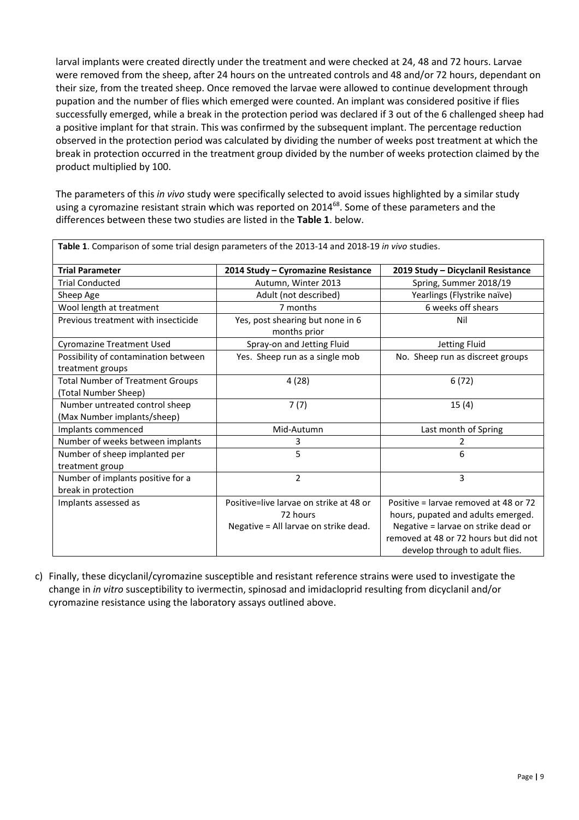larval implants were created directly under the treatment and were checked at 24, 48 and 72 hours. Larvae were removed from the sheep, after 24 hours on the untreated controls and 48 and/or 72 hours, dependant on their size, from the treated sheep. Once removed the larvae were allowed to continue development through pupation and the number of flies which emerged were counted. An implant was considered positive if flies successfully emerged, while a break in the protection period was declared if 3 out of the 6 challenged sheep had a positive implant for that strain. This was confirmed by the subsequent implant. The percentage reduction observed in the protection period was calculated by dividing the number of weeks post treatment at which the break in protection occurred in the treatment group divided by the number of weeks protection claimed by the product multiplied by 100.

The parameters of this *in vivo* study were specifically selected to avoid issues highlighted by a similar study using a cyromazine resistant strain which was reported on 2014<sup>68</sup>. Some of these parameters and the differences between these two studies are listed in the **Table 1**. below.

| <b>Trial Parameter</b>                                          | 2014 Study - Cyromazine Resistance               | 2019 Study - Dicyclanil Resistance                                       |  |
|-----------------------------------------------------------------|--------------------------------------------------|--------------------------------------------------------------------------|--|
| <b>Trial Conducted</b>                                          | Autumn, Winter 2013                              | Spring, Summer 2018/19                                                   |  |
| Sheep Age                                                       | Adult (not described)                            | Yearlings (Flystrike naïve)                                              |  |
| Wool length at treatment                                        | 7 months                                         | 6 weeks off shears                                                       |  |
| Previous treatment with insecticide                             | Yes, post shearing but none in 6<br>months prior | Nil                                                                      |  |
| <b>Cyromazine Treatment Used</b>                                | Spray-on and Jetting Fluid                       | Jetting Fluid                                                            |  |
| Possibility of contamination between<br>treatment groups        | Yes. Sheep run as a single mob                   | No. Sheep run as discreet groups                                         |  |
| <b>Total Number of Treatment Groups</b><br>(Total Number Sheep) | 4(28)                                            | 6(72)                                                                    |  |
| Number untreated control sheep<br>(Max Number implants/sheep)   | 7(7)                                             | 15(4)                                                                    |  |
| Implants commenced                                              | Mid-Autumn                                       | Last month of Spring                                                     |  |
| Number of weeks between implants                                | 3                                                | 2                                                                        |  |
| Number of sheep implanted per<br>treatment group                | 5                                                | 6                                                                        |  |
| Number of implants positive for a<br>break in protection        | $\overline{2}$                                   | 3                                                                        |  |
| Implants assessed as                                            | Positive=live larvae on strike at 48 or          | Positive = larvae removed at 48 or 72                                    |  |
|                                                                 | 72 hours                                         | hours, pupated and adults emerged.                                       |  |
|                                                                 | Negative = All larvae on strike dead.            | Negative = larvae on strike dead or                                      |  |
|                                                                 |                                                  | removed at 48 or 72 hours but did not<br>develop through to adult flies. |  |

**Table 1**. Comparison of some trial design parameters of the 2013-14 and 2018-19 *in vivo* studies.

c) Finally, these dicyclanil/cyromazine susceptible and resistant reference strains were used to investigate the change in *in vitro* susceptibility to ivermectin, spinosad and imidacloprid resulting from dicyclanil and/or cyromazine resistance using the laboratory assays outlined above.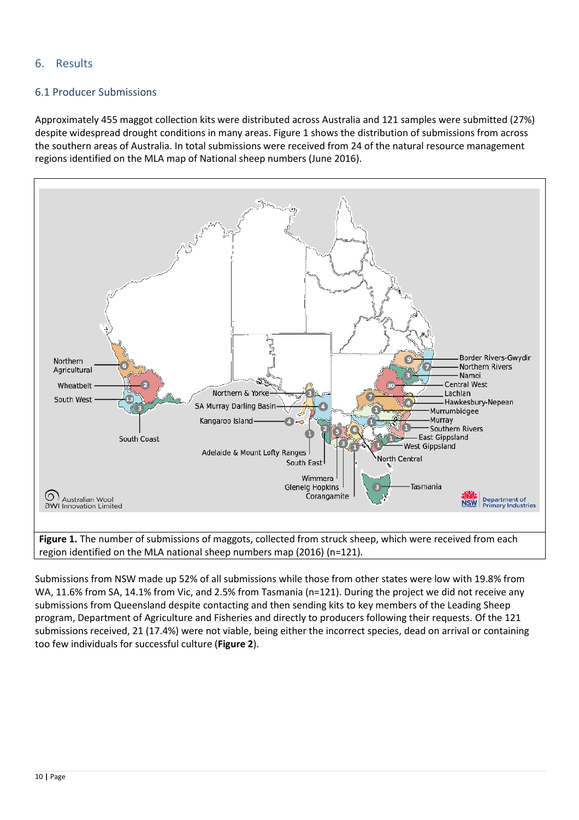#### <span id="page-9-0"></span>6. Results

#### <span id="page-9-1"></span>6.1 Producer Submissions

Approximately 455 maggot collection kits were distributed across Australia and 121 samples were submitted (27%) despite widespread drought conditions in many areas. Figure 1 shows the distribution of submissions from across the southern areas of Australia. In total submissions were received from 24 of the natural resource management regions identified on the MLA map of National sheep numbers (June 2016).



Submissions from NSW made up 52% of all submissions while those from other states were low with 19.8% from WA, 11.6% from SA, 14.1% from Vic, and 2.5% from Tasmania (n=121). During the project we did not receive any submissions from Queensland despite contacting and then sending kits to key members of the Leading Sheep program, Department of Agriculture and Fisheries and directly to producers following their requests. Of the 121 submissions received, 21 (17.4%) were not viable, being either the incorrect species, dead on arrival or containing too few individuals for successful culture (**Figure 2**).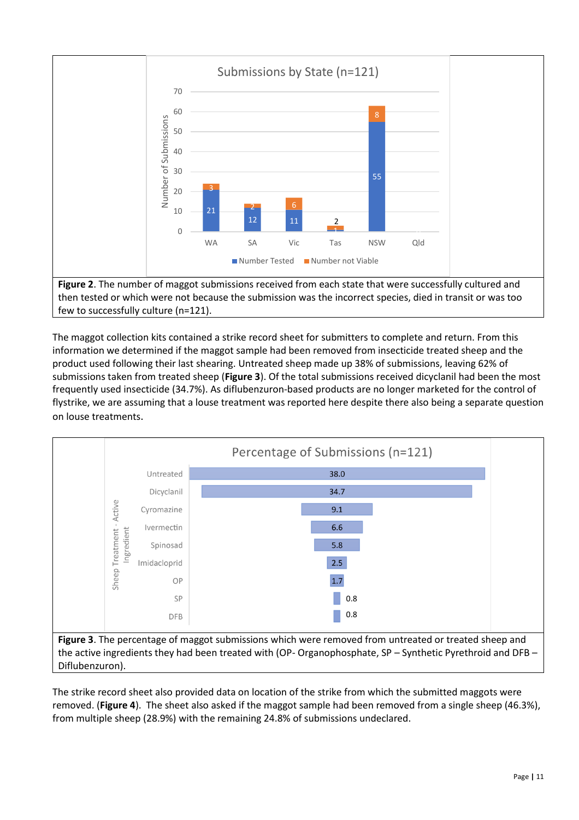

The maggot collection kits contained a strike record sheet for submitters to complete and return. From this information we determined if the maggot sample had been removed from insecticide treated sheep and the product used following their last shearing. Untreated sheep made up 38% of submissions, leaving 62% of submissions taken from treated sheep (**Figure 3**). Of the total submissions received dicyclanil had been the most frequently used insecticide (34.7%). As diflubenzuron-based products are no longer marketed for the control of flystrike, we are assuming that a louse treatment was reported here despite there also being a separate question on louse treatments.



the active ingredients they had been treated with (OP- Organophosphate, SP – Synthetic Pyrethroid and DFB – Diflubenzuron).

The strike record sheet also provided data on location of the strike from which the submitted maggots were removed. (**Figure 4**). The sheet also asked if the maggot sample had been removed from a single sheep (46.3%), from multiple sheep (28.9%) with the remaining 24.8% of submissions undeclared.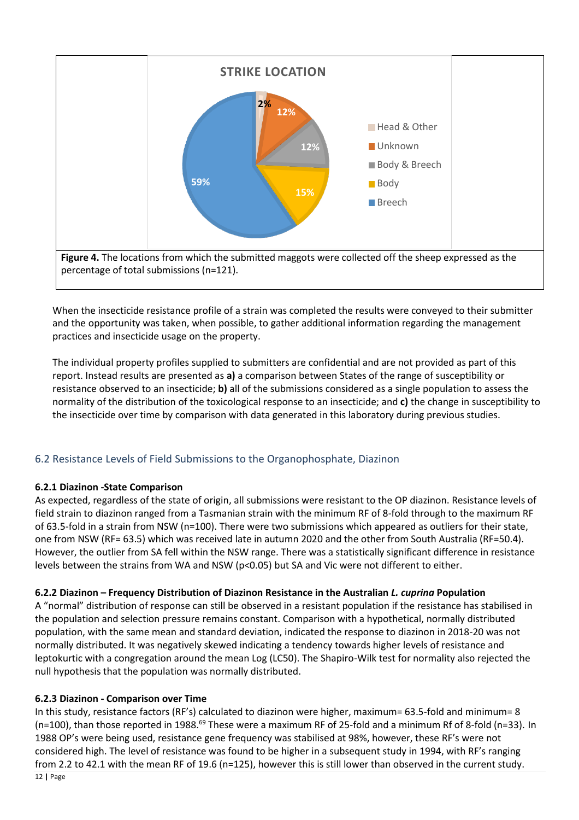

When the insecticide resistance profile of a strain was completed the results were conveyed to their submitter and the opportunity was taken, when possible, to gather additional information regarding the management practices and insecticide usage on the property.

The individual property profiles supplied to submitters are confidential and are not provided as part of this report. Instead results are presented as **a)** a comparison between States of the range of susceptibility or resistance observed to an insecticide; **b)** all of the submissions considered as a single population to assess the normality of the distribution of the toxicological response to an insecticide; and **c)** the change in susceptibility to the insecticide over time by comparison with data generated in this laboratory during previous studies.

#### <span id="page-11-0"></span>6.2 Resistance Levels of Field Submissions to the Organophosphate, Diazinon

#### **6.2.1 Diazinon -State Comparison**

As expected, regardless of the state of origin, all submissions were resistant to the OP diazinon. Resistance levels of field strain to diazinon ranged from a Tasmanian strain with the minimum RF of 8-fold through to the maximum RF of 63.5-fold in a strain from NSW (n=100). There were two submissions which appeared as outliers for their state, one from NSW (RF= 63.5) which was received late in autumn 2020 and the other from South Australia (RF=50.4). However, the outlier from SA fell within the NSW range. There was a statistically significant difference in resistance levels between the strains from WA and NSW (p<0.05) but SA and Vic were not different to either.

#### **6.2.2 Diazinon – Frequency Distribution of Diazinon Resistance in the Australian** *L. cuprina* **Population**

A "normal" distribution of response can still be observed in a resistant population if the resistance has stabilised in the population and selection pressure remains constant. Comparison with a hypothetical, normally distributed population, with the same mean and standard deviation, indicated the response to diazinon in 2018-20 was not normally distributed. It was negatively skewed indicating a tendency towards higher levels of resistance and leptokurtic with a congregation around the mean Log (LC50). The Shapiro-Wilk test for normality also rejected the null hypothesis that the population was normally distributed.

#### **6.2.3 Diazinon - Comparison over Time**

In this study, resistance factors (RF's) calculated to diazinon were higher, maximum= 63.5-fold and minimum= 8 (n=100), than those reported in 1988.<sup>69</sup> These were a maximum RF of 25-fold and a minimum Rf of 8-fold (n=33). In 1988 OP's were being used, resistance gene frequency was stabilised at 98%, however, these RF's were not considered high. The level of resistance was found to be higher in a subsequent study in 1994, with RF's ranging from 2.2 to 42.1 with the mean RF of 19.6 (n=125), however this is still lower than observed in the current study.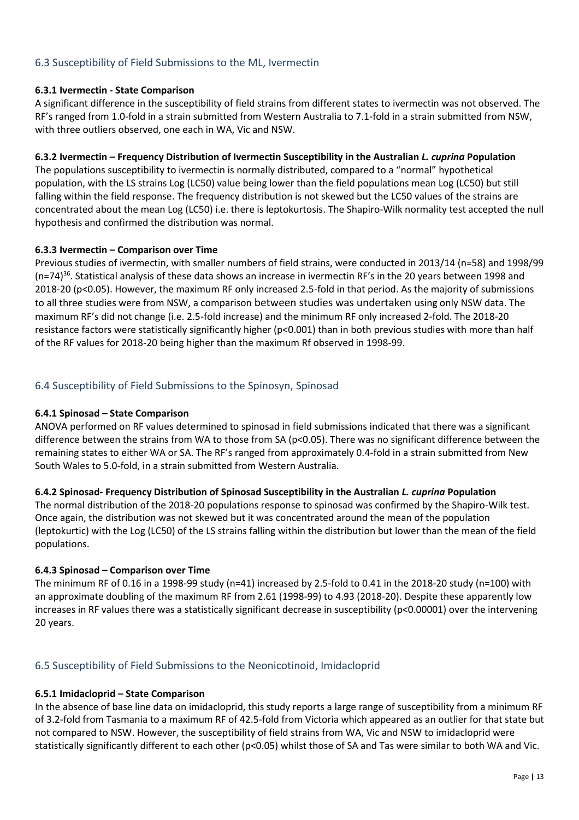#### <span id="page-12-0"></span>6.3 Susceptibility of Field Submissions to the ML, Ivermectin

#### **6.3.1 Ivermectin - State Comparison**

A significant difference in the susceptibility of field strains from different states to ivermectin was not observed. The RF's ranged from 1.0-fold in a strain submitted from Western Australia to 7.1-fold in a strain submitted from NSW, with three outliers observed, one each in WA, Vic and NSW.

#### **6.3.2 Ivermectin – Frequency Distribution of Ivermectin Susceptibility in the Australian** *L. cuprina* **Population**

The populations susceptibility to ivermectin is normally distributed, compared to a "normal" hypothetical population, with the LS strains Log (LC50) value being lower than the field populations mean Log (LC50) but still falling within the field response. The frequency distribution is not skewed but the LC50 values of the strains are concentrated about the mean Log (LC50) i.e. there is leptokurtosis. The Shapiro-Wilk normality test accepted the null hypothesis and confirmed the distribution was normal.

#### **6.3.3 Ivermectin – Comparison over Time**

Previous studies of ivermectin, with smaller numbers of field strains, were conducted in 2013/14 (n=58) and 1998/99 (n=74)<sup>36</sup>. Statistical analysis of these data shows an increase in ivermectin RF's in the 20 years between 1998 and 2018-20 (p<0.05). However, the maximum RF only increased 2.5-fold in that period. As the majority of submissions to all three studies were from NSW, a comparison between studies was undertaken using only NSW data. The maximum RF's did not change (i.e. 2.5-fold increase) and the minimum RF only increased 2-fold. The 2018-20 resistance factors were statistically significantly higher (p<0.001) than in both previous studies with more than half of the RF values for 2018-20 being higher than the maximum Rf observed in 1998-99.

#### <span id="page-12-1"></span>6.4 Susceptibility of Field Submissions to the Spinosyn, Spinosad

#### **6.4.1 Spinosad – State Comparison**

ANOVA performed on RF values determined to spinosad in field submissions indicated that there was a significant difference between the strains from WA to those from SA (p<0.05). There was no significant difference between the remaining states to either WA or SA. The RF's ranged from approximately 0.4-fold in a strain submitted from New South Wales to 5.0-fold, in a strain submitted from Western Australia.

#### **6.4.2 Spinosad- Frequency Distribution of Spinosad Susceptibility in the Australian** *L. cuprina* **Population**

The normal distribution of the 2018-20 populations response to spinosad was confirmed by the Shapiro-Wilk test. Once again, the distribution was not skewed but it was concentrated around the mean of the population (leptokurtic) with the Log (LC50) of the LS strains falling within the distribution but lower than the mean of the field populations.

#### **6.4.3 Spinosad – Comparison over Time**

The minimum RF of 0.16 in a 1998-99 study (n=41) increased by 2.5-fold to 0.41 in the 2018-20 study (n=100) with an approximate doubling of the maximum RF from 2.61 (1998-99) to 4.93 (2018-20). Despite these apparently low increases in RF values there was a statistically significant decrease in susceptibility (p<0.00001) over the intervening 20 years.

#### <span id="page-12-2"></span>6.5 Susceptibility of Field Submissions to the Neonicotinoid, Imidacloprid

#### **6.5.1 Imidacloprid – State Comparison**

In the absence of base line data on imidacloprid, this study reports a large range of susceptibility from a minimum RF of 3.2-fold from Tasmania to a maximum RF of 42.5-fold from Victoria which appeared as an outlier for that state but not compared to NSW. However, the susceptibility of field strains from WA, Vic and NSW to imidacloprid were statistically significantly different to each other (p<0.05) whilst those of SA and Tas were similar to both WA and Vic.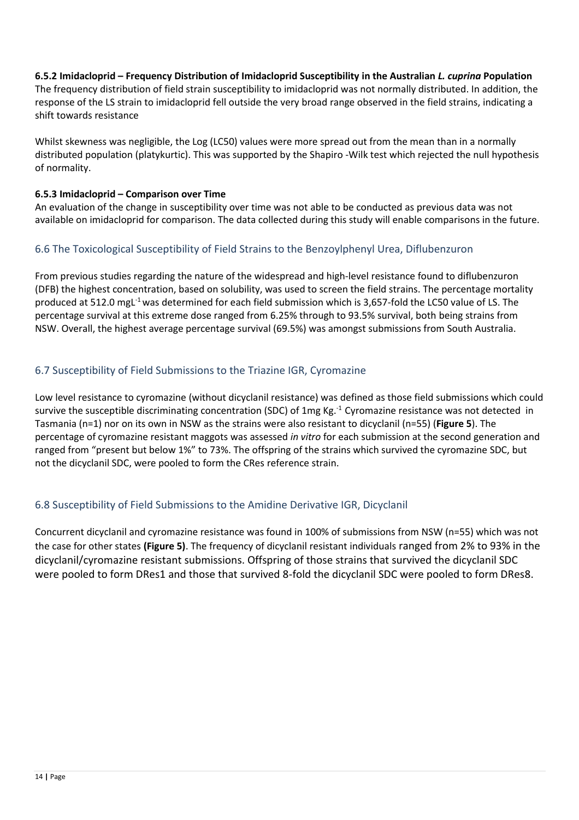#### **6.5.2 Imidacloprid – Frequency Distribution of Imidacloprid Susceptibility in the Australian** *L. cuprina* **Population**

The frequency distribution of field strain susceptibility to imidacloprid was not normally distributed. In addition, the response of the LS strain to imidacloprid fell outside the very broad range observed in the field strains, indicating a shift towards resistance

Whilst skewness was negligible, the Log (LC50) values were more spread out from the mean than in a normally distributed population (platykurtic). This was supported by the Shapiro -Wilk test which rejected the null hypothesis of normality.

#### **6.5.3 Imidacloprid – Comparison over Time**

An evaluation of the change in susceptibility over time was not able to be conducted as previous data was not available on imidacloprid for comparison. The data collected during this study will enable comparisons in the future.

#### <span id="page-13-0"></span>6.6 The Toxicological Susceptibility of Field Strains to the Benzoylphenyl Urea, Diflubenzuron

From previous studies regarding the nature of the widespread and high-level resistance found to diflubenzuron (DFB) the highest concentration, based on solubility, was used to screen the field strains. The percentage mortality produced at 512.0 mgL-1 was determined for each field submission which is 3,657-fold the LC50 value of LS. The percentage survival at this extreme dose ranged from 6.25% through to 93.5% survival, both being strains from NSW. Overall, the highest average percentage survival (69.5%) was amongst submissions from South Australia.

#### <span id="page-13-1"></span>6.7 Susceptibility of Field Submissions to the Triazine IGR, Cyromazine

Low level resistance to cyromazine (without dicyclanil resistance) was defined as those field submissions which could survive the susceptible discriminating concentration (SDC) of 1mg Kg.<sup>-1</sup> Cyromazine resistance was not detected in Tasmania (n=1) nor on its own in NSW as the strains were also resistant to dicyclanil (n=55) (**Figure 5**). The percentage of cyromazine resistant maggots was assessed *in vitro* for each submission at the second generation and ranged from "present but below 1%" to 73%. The offspring of the strains which survived the cyromazine SDC, but not the dicyclanil SDC, were pooled to form the CRes reference strain.

#### <span id="page-13-2"></span>6.8 Susceptibility of Field Submissions to the Amidine Derivative IGR, Dicyclanil

Concurrent dicyclanil and cyromazine resistance was found in 100% of submissions from NSW (n=55) which was not the case for other states **(Figure 5)**. The frequency of dicyclanil resistant individuals ranged from 2% to 93% in the dicyclanil/cyromazine resistant submissions. Offspring of those strains that survived the dicyclanil SDC were pooled to form DRes1 and those that survived 8-fold the dicyclanil SDC were pooled to form DRes8.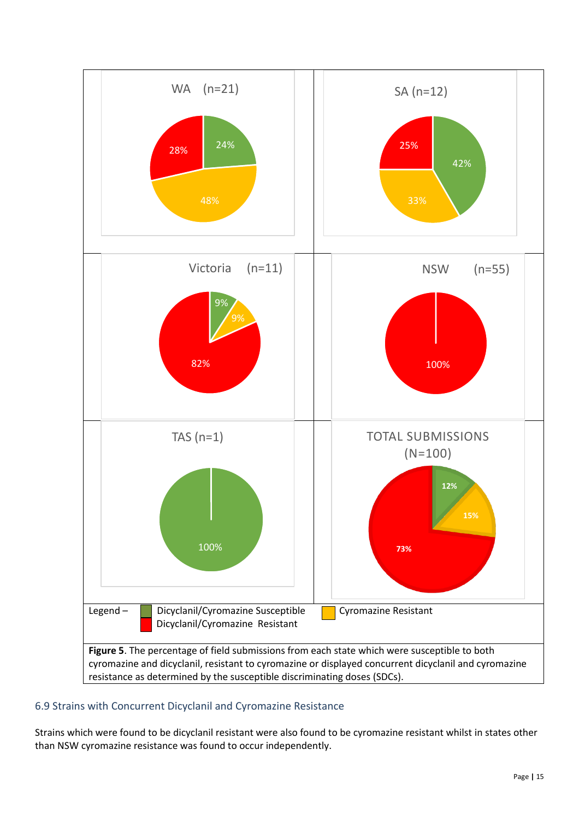

#### <span id="page-14-0"></span>6.9 Strains with Concurrent Dicyclanil and Cyromazine Resistance

Strains which were found to be dicyclanil resistant were also found to be cyromazine resistant whilst in states other than NSW cyromazine resistance was found to occur independently.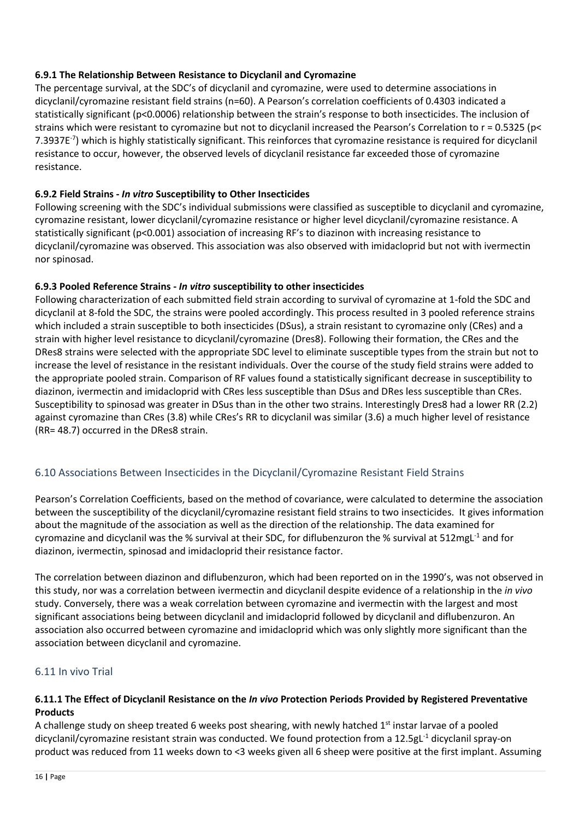#### **6.9.1 The Relationship Between Resistance to Dicyclanil and Cyromazine**

The percentage survival, at the SDC's of dicyclanil and cyromazine, were used to determine associations in dicyclanil/cyromazine resistant field strains (n=60). A Pearson's correlation coefficients of 0.4303 indicated a statistically significant (p<0.0006) relationship between the strain's response to both insecticides. The inclusion of strains which were resistant to cyromazine but not to dicyclanil increased the Pearson's Correlation to r = 0.5325 (p< 7.3937E<sup>-7</sup>) which is highly statistically significant. This reinforces that cyromazine resistance is required for dicyclanil resistance to occur, however, the observed levels of dicyclanil resistance far exceeded those of cyromazine resistance.

#### **6.9.2 Field Strains -** *In vitro* **Susceptibility to Other Insecticides**

Following screening with the SDC's individual submissions were classified as susceptible to dicyclanil and cyromazine, cyromazine resistant, lower dicyclanil/cyromazine resistance or higher level dicyclanil/cyromazine resistance. A statistically significant (p<0.001) association of increasing RF's to diazinon with increasing resistance to dicyclanil/cyromazine was observed. This association was also observed with imidacloprid but not with ivermectin nor spinosad.

#### **6.9.3 Pooled Reference Strains -** *In vitro* **susceptibility to other insecticides**

Following characterization of each submitted field strain according to survival of cyromazine at 1-fold the SDC and dicyclanil at 8-fold the SDC, the strains were pooled accordingly. This process resulted in 3 pooled reference strains which included a strain susceptible to both insecticides (DSus), a strain resistant to cyromazine only (CRes) and a strain with higher level resistance to dicyclanil/cyromazine (Dres8). Following their formation, the CRes and the DRes8 strains were selected with the appropriate SDC level to eliminate susceptible types from the strain but not to increase the level of resistance in the resistant individuals. Over the course of the study field strains were added to the appropriate pooled strain. Comparison of RF values found a statistically significant decrease in susceptibility to diazinon, ivermectin and imidacloprid with CRes less susceptible than DSus and DRes less susceptible than CRes. Susceptibility to spinosad was greater in DSus than in the other two strains. Interestingly Dres8 had a lower RR (2.2) against cyromazine than CRes (3.8) while CRes's RR to dicyclanil was similar (3.6) a much higher level of resistance (RR= 48.7) occurred in the DRes8 strain.

#### <span id="page-15-0"></span>6.10 Associations Between Insecticides in the Dicyclanil/Cyromazine Resistant Field Strains

Pearson's Correlation Coefficients, based on the method of covariance, were calculated to determine the association between the susceptibility of the dicyclanil/cyromazine resistant field strains to two insecticides. It gives information about the magnitude of the association as well as the direction of the relationship. The data examined for cyromazine and dicyclanil was the % survival at their SDC, for diflubenzuron the % survival at 512mgL<sup>-1</sup> and for diazinon, ivermectin, spinosad and imidacloprid their resistance factor.

The correlation between diazinon and diflubenzuron, which had been reported on in the 1990's, was not observed in this study, nor was a correlation between ivermectin and dicyclanil despite evidence of a relationship in the *in vivo* study. Conversely, there was a weak correlation between cyromazine and ivermectin with the largest and most significant associations being between dicyclanil and imidacloprid followed by dicyclanil and diflubenzuron. An association also occurred between cyromazine and imidacloprid which was only slightly more significant than the association between dicyclanil and cyromazine.

#### <span id="page-15-1"></span>6.11 In vivo Trial

#### **6.11.1 The Effect of Dicyclanil Resistance on the** *In vivo* **Protection Periods Provided by Registered Preventative Products**

A challenge study on sheep treated 6 weeks post shearing, with newly hatched  $1<sup>st</sup>$  instar larvae of a pooled dicyclanil/cyromazine resistant strain was conducted. We found protection from a 12.5gL-1 dicyclanil spray-on product was reduced from 11 weeks down to <3 weeks given all 6 sheep were positive at the first implant. Assuming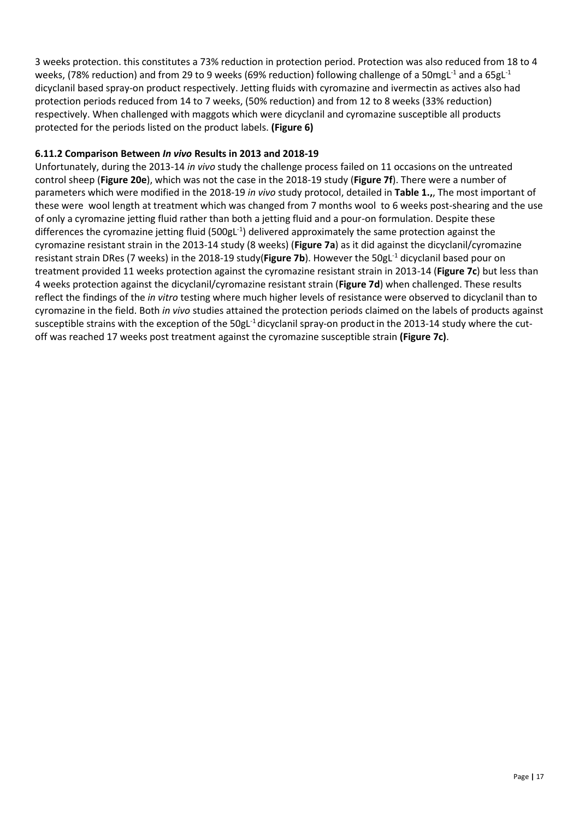3 weeks protection. this constitutes a 73% reduction in protection period. Protection was also reduced from 18 to 4 weeks, (78% reduction) and from 29 to 9 weeks (69% reduction) following challenge of a 50mgL<sup>-1</sup> and a 65gL<sup>-1</sup> dicyclanil based spray-on product respectively. Jetting fluids with cyromazine and ivermectin as actives also had protection periods reduced from 14 to 7 weeks, (50% reduction) and from 12 to 8 weeks (33% reduction) respectively. When challenged with maggots which were dicyclanil and cyromazine susceptible all products protected for the periods listed on the product labels. **(Figure 6)**

#### **6.11.2 Comparison Between** *In vivo* **Results in 2013 and 2018-19**

Unfortunately, during the 2013-14 *in vivo* study the challenge process failed on 11 occasions on the untreated control sheep (**Figure 20e**), which was not the case in the 2018-19 study (**Figure 7f**). There were a number of parameters which were modified in the 2018-19 *in vivo* study protocol, detailed in **Table 1.,**, The most important of these were wool length at treatment which was changed from 7 months wool to 6 weeks post-shearing and the use of only a cyromazine jetting fluid rather than both a jetting fluid and a pour-on formulation. Despite these differences the cyromazine jetting fluid (500gL<sup>-1</sup>) delivered approximately the same protection against the cyromazine resistant strain in the 2013-14 study (8 weeks) (**Figure 7a**) as it did against the dicyclanil/cyromazine resistant strain DRes (7 weeks) in the 2018-19 study(Figure 7b). However the 50gL<sup>-1</sup> dicyclanil based pour on treatment provided 11 weeks protection against the cyromazine resistant strain in 2013-14 (**Figure 7c**) but less than 4 weeks protection against the dicyclanil/cyromazine resistant strain (**Figure 7d**) when challenged. These results reflect the findings of the *in vitro* testing where much higher levels of resistance were observed to dicyclanil than to cyromazine in the field. Both *in vivo* studies attained the protection periods claimed on the labels of products against susceptible strains with the exception of the 50gL<sup>-1</sup> dicyclanil spray-on product in the 2013-14 study where the cutoff was reached 17 weeks post treatment against the cyromazine susceptible strain **(Figure 7c)**.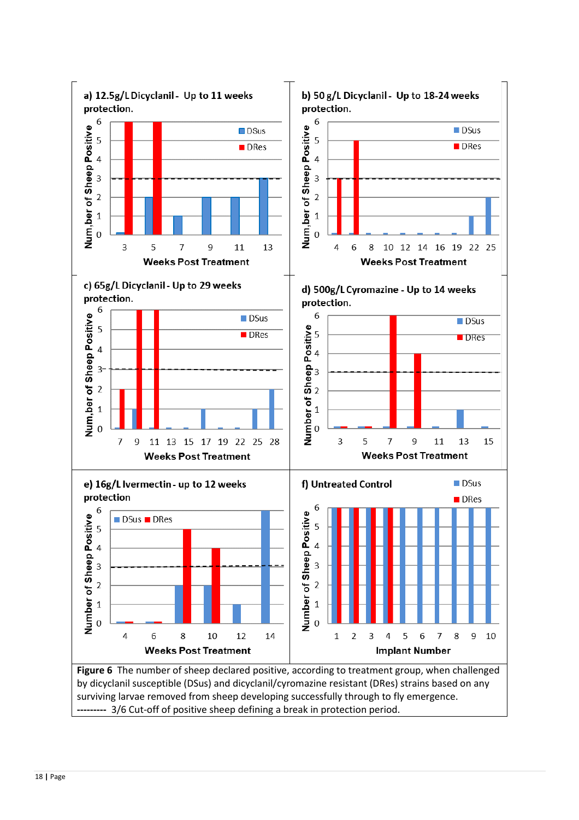

surviving larvae removed from sheep developing successfully through to fly emergence. **---------** 3/6 Cut-off of positive sheep defining a break in protection period.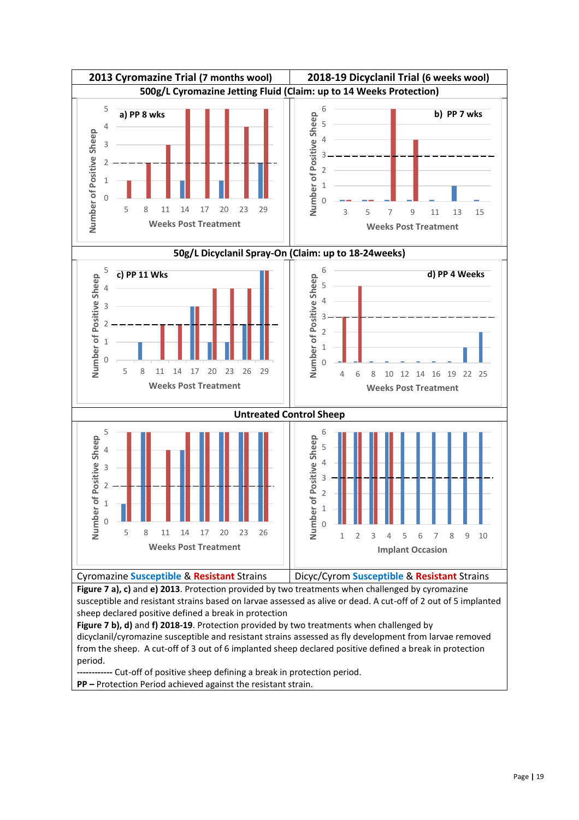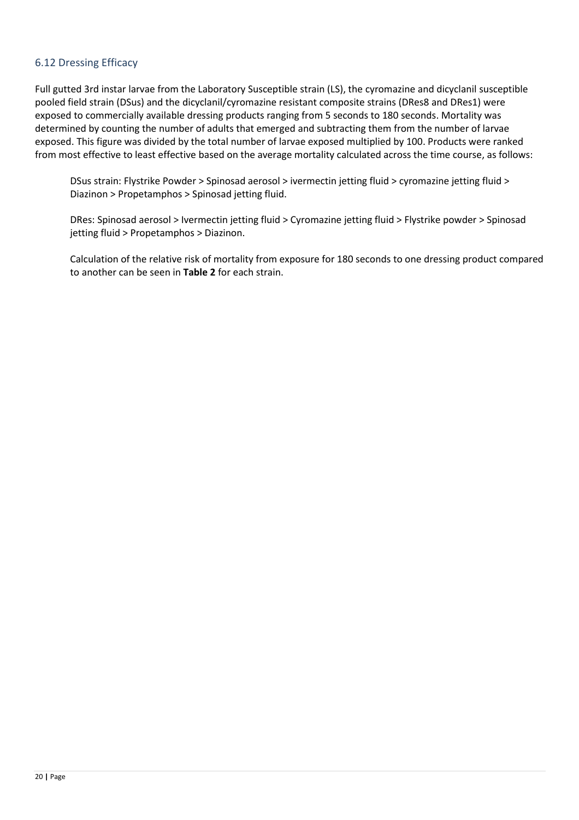#### <span id="page-19-0"></span>6.12 Dressing Efficacy

Full gutted 3rd instar larvae from the Laboratory Susceptible strain (LS), the cyromazine and dicyclanil susceptible pooled field strain (DSus) and the dicyclanil/cyromazine resistant composite strains (DRes8 and DRes1) were exposed to commercially available dressing products ranging from 5 seconds to 180 seconds. Mortality was determined by counting the number of adults that emerged and subtracting them from the number of larvae exposed. This figure was divided by the total number of larvae exposed multiplied by 100. Products were ranked from most effective to least effective based on the average mortality calculated across the time course, as follows:

DSus strain: Flystrike Powder > Spinosad aerosol > ivermectin jetting fluid > cyromazine jetting fluid > Diazinon > Propetamphos > Spinosad jetting fluid.

DRes: Spinosad aerosol > Ivermectin jetting fluid > Cyromazine jetting fluid > Flystrike powder > Spinosad jetting fluid > Propetamphos > Diazinon.

Calculation of the relative risk of mortality from exposure for 180 seconds to one dressing product compared to another can be seen in **Table 2** for each strain.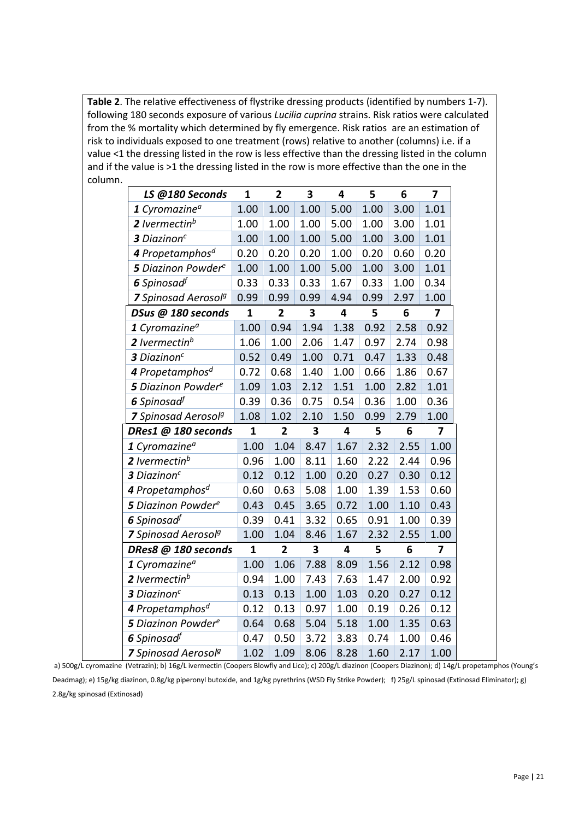**Table 2**. The relative effectiveness of flystrike dressing products (identified by numbers 1-7). following 180 seconds exposure of various *Lucilia cuprina* strains. Risk ratios were calculated from the % mortality which determined by fly emergence. Risk ratios are an estimation of risk to individuals exposed to one treatment (rows) relative to another (columns) i.e. if a value <1 the dressing listed in the row is less effective than the dressing listed in the column and if the value is >1 the dressing listed in the row is more effective than the one in the column.

| $\mathbf{1}$<br>$\overline{\mathbf{2}}$<br>3<br>LS @180 Seconds<br>4<br>1 Cyromazine <sup>a</sup><br>1.00<br>1.00<br>1.00<br>5.00<br>2 Ivermectin <sup>b</sup><br>1.00<br>1.00<br>1.00<br>5.00 |      |      |                |
|------------------------------------------------------------------------------------------------------------------------------------------------------------------------------------------------|------|------|----------------|
|                                                                                                                                                                                                | 5    | 6    | $\overline{7}$ |
|                                                                                                                                                                                                | 1.00 | 3.00 | 1.01           |
|                                                                                                                                                                                                | 1.00 | 3.00 | 1.01           |
| 3 Diazinon <sup>c</sup><br>1.00<br>1.00<br>1.00<br>5.00                                                                                                                                        | 1.00 | 3.00 | 1.01           |
| 4 Propetamphos <sup>d</sup><br>0.20<br>0.20<br>0.20<br>1.00                                                                                                                                    | 0.20 | 0.60 | 0.20           |
| <b>5</b> Diazinon Powder <sup>e</sup><br>1.00<br>1.00<br>1.00<br>5.00                                                                                                                          | 1.00 | 3.00 | 1.01           |
| 6 Spinosad <sup>f</sup><br>0.33<br>0.33<br>0.33<br>1.67                                                                                                                                        | 0.33 | 1.00 | 0.34           |
| 0.99<br>0.99<br><b>7</b> Spinosad Aerosol <sup>g</sup><br>0.99<br>4.94                                                                                                                         | 0.99 | 2.97 | 1.00           |
| $\mathbf{1}$<br>$\overline{2}$<br>DSus @ 180 seconds<br>3<br>4                                                                                                                                 | 5    | 6    | 7              |
| 1.38<br>1 Cyromazine <sup>a</sup><br>1.00<br>0.94<br>1.94                                                                                                                                      | 0.92 | 2.58 | 0.92           |
| 2 Ivermectin <sup>b</sup><br>1.00<br>2.06<br>1.47<br>1.06                                                                                                                                      | 0.97 | 2.74 | 0.98           |
| 3 Diazinon <sup>c</sup><br>0.52<br>0.49<br>1.00<br>0.71                                                                                                                                        | 0.47 | 1.33 | 0.48           |
| 4 Propetamphos <sup>d</sup><br>0.72<br>0.68<br>1.40<br>1.00                                                                                                                                    | 0.66 | 1.86 | 0.67           |
| <b>5</b> Diazinon Powder <sup>e</sup><br>1.09<br>1.03<br>2.12<br>1.51                                                                                                                          | 1.00 | 2.82 | 1.01           |
| 6 Spinosad <sup>f</sup><br>0.39<br>0.36<br>0.75<br>0.54                                                                                                                                        | 0.36 | 1.00 | 0.36           |
| 1.50<br>7 Spinosad Aerosol <sup>g</sup><br>1.08<br>1.02<br>2.10                                                                                                                                | 0.99 | 2.79 | 1.00           |
| 4<br>DRes1 @ 180 seconds<br>$\mathbf{1}$<br>$\overline{2}$<br>3                                                                                                                                | 5    | 6    | 7              |
| 1.00<br>1.04<br>8.47<br>1 Cyromazine <sup>a</sup><br>1.67                                                                                                                                      | 2.32 | 2.55 | 1.00           |
| 2 Ivermectin <sup>b</sup><br>0.96<br>1.00<br>8.11<br>1.60                                                                                                                                      | 2.22 | 2.44 | 0.96           |
| 3 Diazinon <sup>c</sup><br>0.12<br>0.12<br>1.00<br>0.20                                                                                                                                        | 0.27 | 0.30 | 0.12           |
| 4 Propetamphos <sup>d</sup><br>0.63<br>0.60<br>5.08<br>1.00                                                                                                                                    | 1.39 | 1.53 | 0.60           |
| 0.45<br><b>5</b> Diazinon Powder <sup>e</sup><br>0.43<br>3.65<br>0.72                                                                                                                          | 1.00 | 1.10 | 0.43           |
| 0.41<br>6 Spinosad <sup>f</sup><br>0.39<br>3.32<br>0.65                                                                                                                                        | 0.91 | 1.00 | 0.39           |
|                                                                                                                                                                                                | 2.32 | 2.55 | 1.00           |
| 1.00<br>7 Spinosad Aerosol <sup>g</sup><br>1.04<br>8.46<br>1.67                                                                                                                                |      |      |                |
| DRes8 @ 180 seconds<br>$\overline{2}$<br>3<br>4<br>1                                                                                                                                           | 5    | 6    | 7              |
| 1 Cyromazine <sup>a</sup><br>1.06<br>7.88<br>1.00<br>8.09                                                                                                                                      | 1.56 | 2.12 | 0.98           |
| 2 Ivermectin <sup>b</sup><br>0.94<br>1.00<br>7.43<br>7.63                                                                                                                                      | 1.47 | 2.00 | 0.92           |
| 3 Diazinon <sup>c</sup><br>0.13<br>1.00<br>0.13<br>1.03                                                                                                                                        | 0.20 | 0.27 | 0.12           |
| 4 Propetamphos <sup>d</sup><br>0.12<br>0.13<br>0.97<br>1.00                                                                                                                                    | 0.19 | 0.26 | 0.12           |
| 5 Diazinon Powdere<br>0.68<br>5.04<br>5.18<br>0.64                                                                                                                                             | 1.00 | 1.35 | 0.63           |
| 6 Spinosad <sup>f</sup><br>0.50<br>0.47<br>3.72<br>3.83                                                                                                                                        | 0.74 | 1.00 | 0.46           |

a) 500g/L cyromazine (Vetrazin); b) 16g/L ivermectin (Coopers Blowfly and Lice); c) 200g/L diazinon (Coopers Diazinon); d) 14g/L propetamphos (Young's Deadmag); e) 15g/kg diazinon, 0.8g/kg piperonyl butoxide, and 1g/kg pyrethrins (WSD Fly Strike Powder); f) 25g/L spinosad (Extinosad Eliminator); g) 2.8g/kg spinosad (Extinosad)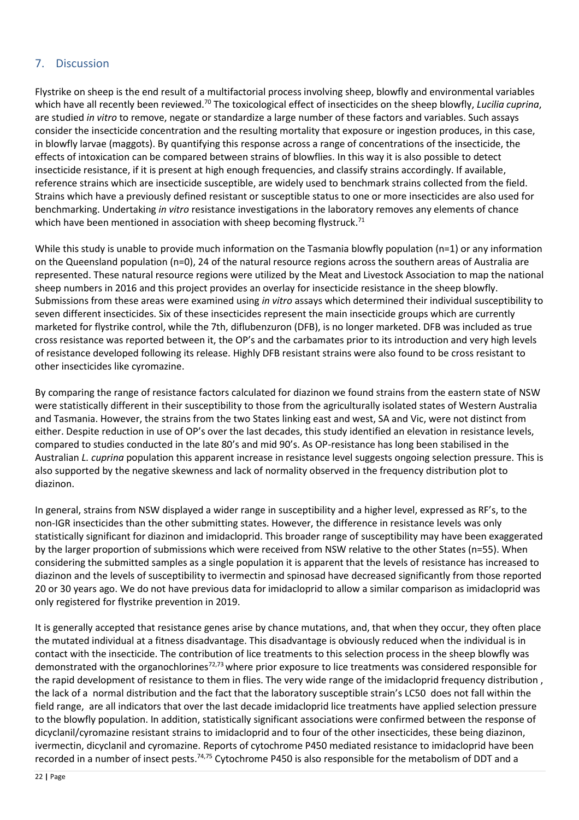#### <span id="page-21-0"></span>7. Discussion

Flystrike on sheep is the end result of a multifactorial process involving sheep, blowfly and environmental variables which have all recently been reviewed.<sup>70</sup> The toxicological effect of insecticides on the sheep blowfly, *Lucilia cuprina*, are studied *in vitro* to remove, negate or standardize a large number of these factors and variables. Such assays consider the insecticide concentration and the resulting mortality that exposure or ingestion produces, in this case, in blowfly larvae (maggots). By quantifying this response across a range of concentrations of the insecticide, the effects of intoxication can be compared between strains of blowflies. In this way it is also possible to detect insecticide resistance, if it is present at high enough frequencies, and classify strains accordingly. If available, reference strains which are insecticide susceptible, are widely used to benchmark strains collected from the field. Strains which have a previously defined resistant or susceptible status to one or more insecticides are also used for benchmarking. Undertaking *in vitro* resistance investigations in the laboratory removes any elements of chance which have been mentioned in association with sheep becoming flystruck. $^{71}$ 

While this study is unable to provide much information on the Tasmania blowfly population (n=1) or any information on the Queensland population (n=0), 24 of the natural resource regions across the southern areas of Australia are represented. These natural resource regions were utilized by the Meat and Livestock Association to map the national sheep numbers in 2016 and this project provides an overlay for insecticide resistance in the sheep blowfly. Submissions from these areas were examined using *in vitro* assays which determined their individual susceptibility to seven different insecticides. Six of these insecticides represent the main insecticide groups which are currently marketed for flystrike control, while the 7th, diflubenzuron (DFB), is no longer marketed. DFB was included as true cross resistance was reported between it, the OP's and the carbamates prior to its introduction and very high levels of resistance developed following its release. Highly DFB resistant strains were also found to be cross resistant to other insecticides like cyromazine.

By comparing the range of resistance factors calculated for diazinon we found strains from the eastern state of NSW were statistically different in their susceptibility to those from the agriculturally isolated states of Western Australia and Tasmania. However, the strains from the two States linking east and west, SA and Vic, were not distinct from either. Despite reduction in use of OP's over the last decades, this study identified an elevation in resistance levels, compared to studies conducted in the late 80's and mid 90's. As OP-resistance has long been stabilised in the Australian *L. cuprina* population this apparent increase in resistance level suggests ongoing selection pressure. This is also supported by the negative skewness and lack of normality observed in the frequency distribution plot to diazinon.

In general, strains from NSW displayed a wider range in susceptibility and a higher level, expressed as RF's, to the non-IGR insecticides than the other submitting states. However, the difference in resistance levels was only statistically significant for diazinon and imidacloprid. This broader range of susceptibility may have been exaggerated by the larger proportion of submissions which were received from NSW relative to the other States (n=55). When considering the submitted samples as a single population it is apparent that the levels of resistance has increased to diazinon and the levels of susceptibility to ivermectin and spinosad have decreased significantly from those reported 20 or 30 years ago. We do not have previous data for imidacloprid to allow a similar comparison as imidacloprid was only registered for flystrike prevention in 2019.

It is generally accepted that resistance genes arise by chance mutations, and, that when they occur, they often place the mutated individual at a fitness disadvantage. This disadvantage is obviously reduced when the individual is in contact with the insecticide. The contribution of lice treatments to this selection process in the sheep blowfly was demonstrated with the organochlorines<sup>72,73</sup> where prior exposure to lice treatments was considered responsible for the rapid development of resistance to them in flies. The very wide range of the imidacloprid frequency distribution , the lack of a normal distribution and the fact that the laboratory susceptible strain's LC50 does not fall within the field range, are all indicators that over the last decade imidacloprid lice treatments have applied selection pressure to the blowfly population. In addition, statistically significant associations were confirmed between the response of dicyclanil/cyromazine resistant strains to imidacloprid and to four of the other insecticides, these being diazinon, ivermectin, dicyclanil and cyromazine. Reports of cytochrome P450 mediated resistance to imidacloprid have been recorded in a number of insect pests.<sup>74,75</sup> Cytochrome P450 is also responsible for the metabolism of DDT and a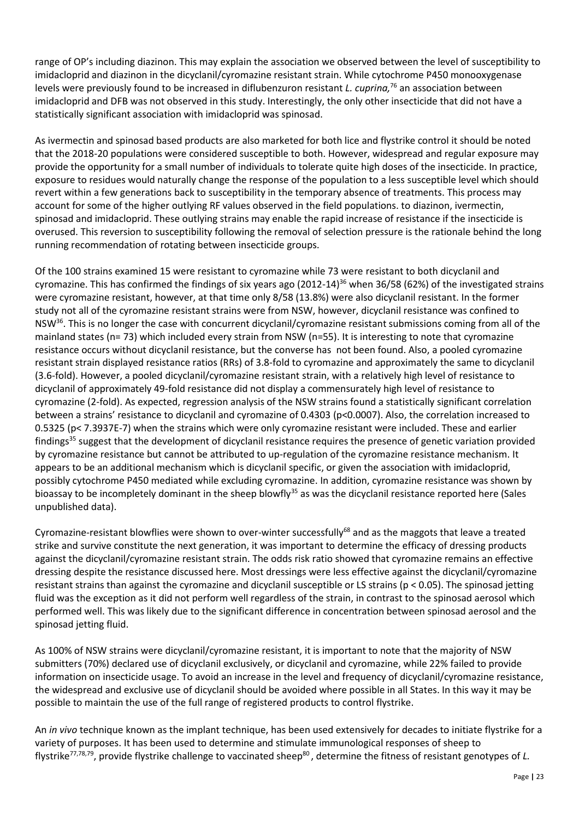range of OP's including diazinon. This may explain the association we observed between the level of susceptibility to imidacloprid and diazinon in the dicyclanil/cyromazine resistant strain. While cytochrome P450 monooxygenase levels were previously found to be increased in diflubenzuron resistant *L. cuprina,* <sup>76</sup> an association between imidacloprid and DFB was not observed in this study. Interestingly, the only other insecticide that did not have a statistically significant association with imidacloprid was spinosad.

As ivermectin and spinosad based products are also marketed for both lice and flystrike control it should be noted that the 2018-20 populations were considered susceptible to both. However, widespread and regular exposure may provide the opportunity for a small number of individuals to tolerate quite high doses of the insecticide. In practice, exposure to residues would naturally change the response of the population to a less susceptible level which should revert within a few generations back to susceptibility in the temporary absence of treatments. This process may account for some of the higher outlying RF values observed in the field populations. to diazinon, ivermectin, spinosad and imidacloprid. These outlying strains may enable the rapid increase of resistance if the insecticide is overused. This reversion to susceptibility following the removal of selection pressure is the rationale behind the long running recommendation of rotating between insecticide groups.

Of the 100 strains examined 15 were resistant to cyromazine while 73 were resistant to both dicyclanil and cyromazine. This has confirmed the findings of six years ago (2012-14)<sup>36</sup> when 36/58 (62%) of the investigated strains were cyromazine resistant, however, at that time only 8/58 (13.8%) were also dicyclanil resistant. In the former study not all of the cyromazine resistant strains were from NSW, however, dicyclanil resistance was confined to NSW<sup>36</sup>. This is no longer the case with concurrent dicyclanil/cyromazine resistant submissions coming from all of the mainland states (n= 73) which included every strain from NSW (n=55). It is interesting to note that cyromazine resistance occurs without dicyclanil resistance, but the converse has not been found. Also, a pooled cyromazine resistant strain displayed resistance ratios (RRs) of 3.8-fold to cyromazine and approximately the same to dicyclanil (3.6-fold). However, a pooled dicyclanil/cyromazine resistant strain, with a relatively high level of resistance to dicyclanil of approximately 49-fold resistance did not display a commensurately high level of resistance to cyromazine (2-fold). As expected, regression analysis of the NSW strains found a statistically significant correlation between a strains' resistance to dicyclanil and cyromazine of 0.4303 (p<0.0007). Also, the correlation increased to 0.5325 (p< 7.3937E-7) when the strains which were only cyromazine resistant were included. These and earlier findings<sup>35</sup> suggest that the development of dicyclanil resistance requires the presence of genetic variation provided by cyromazine resistance but cannot be attributed to up-regulation of the cyromazine resistance mechanism. It appears to be an additional mechanism which is dicyclanil specific, or given the association with imidacloprid, possibly cytochrome P450 mediated while excluding cyromazine. In addition, cyromazine resistance was shown by bioassay to be incompletely dominant in the sheep blowfly<sup>35</sup> as was the dicyclanil resistance reported here (Sales unpublished data).

Cyromazine-resistant blowflies were shown to over-winter successfully<sup>68</sup> and as the maggots that leave a treated strike and survive constitute the next generation, it was important to determine the efficacy of dressing products against the dicyclanil/cyromazine resistant strain. The odds risk ratio showed that cyromazine remains an effective dressing despite the resistance discussed here. Most dressings were less effective against the dicyclanil/cyromazine resistant strains than against the cyromazine and dicyclanil susceptible or LS strains (p < 0.05). The spinosad jetting fluid was the exception as it did not perform well regardless of the strain, in contrast to the spinosad aerosol which performed well. This was likely due to the significant difference in concentration between spinosad aerosol and the spinosad jetting fluid.

As 100% of NSW strains were dicyclanil/cyromazine resistant, it is important to note that the majority of NSW submitters (70%) declared use of dicyclanil exclusively, or dicyclanil and cyromazine, while 22% failed to provide information on insecticide usage. To avoid an increase in the level and frequency of dicyclanil/cyromazine resistance, the widespread and exclusive use of dicyclanil should be avoided where possible in all States. In this way it may be possible to maintain the use of the full range of registered products to control flystrike.

An *in vivo* technique known as the implant technique, has been used extensively for decades to initiate flystrike for a variety of purposes. It has been used to determine and stimulate immunological responses of sheep to flystrike<sup>77,78,79</sup>, provide flystrike challenge to vaccinated sheep<sup>80</sup>, determine the fitness of resistant genotypes of *L.*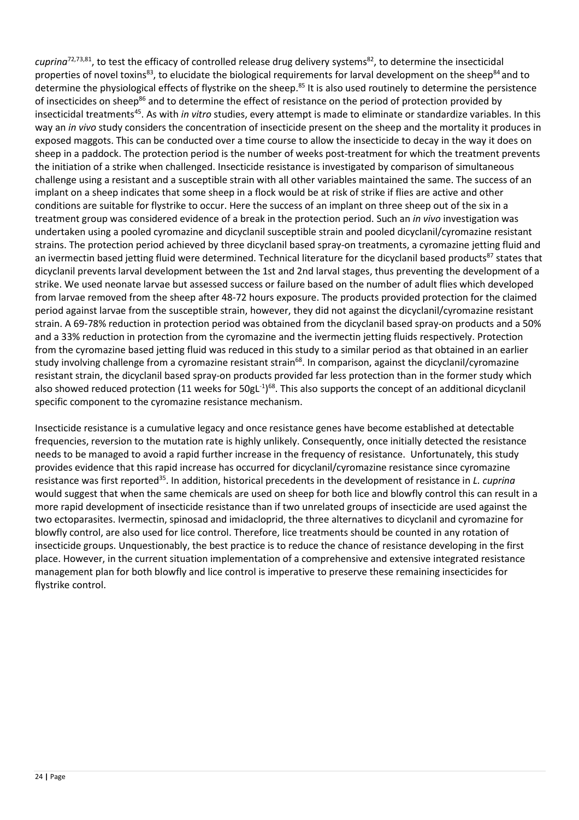cuprina<sup>72,73,81</sup>, to test the efficacy of controlled release drug delivery systems<sup>82</sup>, to determine the insecticidal properties of novel toxins<sup>83</sup>, to elucidate the biological requirements for larval development on the sheep<sup>84</sup> and to determine the physiological effects of flystrike on the sheep.<sup>85</sup> It is also used routinely to determine the persistence of insecticides on sheep<sup>86</sup> and to determine the effect of resistance on the period of protection provided by insecticidal treatments<sup>45</sup>. As with *in vitro* studies, every attempt is made to eliminate or standardize variables. In this way an *in vivo* study considers the concentration of insecticide present on the sheep and the mortality it produces in exposed maggots. This can be conducted over a time course to allow the insecticide to decay in the way it does on sheep in a paddock. The protection period is the number of weeks post-treatment for which the treatment prevents the initiation of a strike when challenged. Insecticide resistance is investigated by comparison of simultaneous challenge using a resistant and a susceptible strain with all other variables maintained the same. The success of an implant on a sheep indicates that some sheep in a flock would be at risk of strike if flies are active and other conditions are suitable for flystrike to occur. Here the success of an implant on three sheep out of the six in a treatment group was considered evidence of a break in the protection period. Such an *in vivo* investigation was undertaken using a pooled cyromazine and dicyclanil susceptible strain and pooled dicyclanil/cyromazine resistant strains. The protection period achieved by three dicyclanil based spray-on treatments, a cyromazine jetting fluid and an ivermectin based jetting fluid were determined. Technical literature for the dicyclanil based products<sup>87</sup> states that dicyclanil prevents larval development between the 1st and 2nd larval stages, thus preventing the development of a strike. We used neonate larvae but assessed success or failure based on the number of adult flies which developed from larvae removed from the sheep after 48-72 hours exposure. The products provided protection for the claimed period against larvae from the susceptible strain, however, they did not against the dicyclanil/cyromazine resistant strain. A 69-78% reduction in protection period was obtained from the dicyclanil based spray-on products and a 50% and a 33% reduction in protection from the cyromazine and the ivermectin jetting fluids respectively. Protection from the cyromazine based jetting fluid was reduced in this study to a similar period as that obtained in an earlier study involving challenge from a cyromazine resistant strain<sup>68</sup>. In comparison, against the dicyclanil/cyromazine resistant strain, the dicyclanil based spray-on products provided far less protection than in the former study which also showed reduced protection (11 weeks for 50gL<sup>-1</sup>)<sup>68</sup>. This also supports the concept of an additional dicyclanil specific component to the cyromazine resistance mechanism.

Insecticide resistance is a cumulative legacy and once resistance genes have become established at detectable frequencies, reversion to the mutation rate is highly unlikely. Consequently, once initially detected the resistance needs to be managed to avoid a rapid further increase in the frequency of resistance. Unfortunately, this study provides evidence that this rapid increase has occurred for dicyclanil/cyromazine resistance since cyromazine resistance was first reported<sup>35</sup>. In addition, historical precedents in the development of resistance in *L. cuprina* would suggest that when the same chemicals are used on sheep for both lice and blowfly control this can result in a more rapid development of insecticide resistance than if two unrelated groups of insecticide are used against the two ectoparasites. Ivermectin, spinosad and imidacloprid, the three alternatives to dicyclanil and cyromazine for blowfly control, are also used for lice control. Therefore, lice treatments should be counted in any rotation of insecticide groups. Unquestionably, the best practice is to reduce the chance of resistance developing in the first place. However, in the current situation implementation of a comprehensive and extensive integrated resistance management plan for both blowfly and lice control is imperative to preserve these remaining insecticides for flystrike control.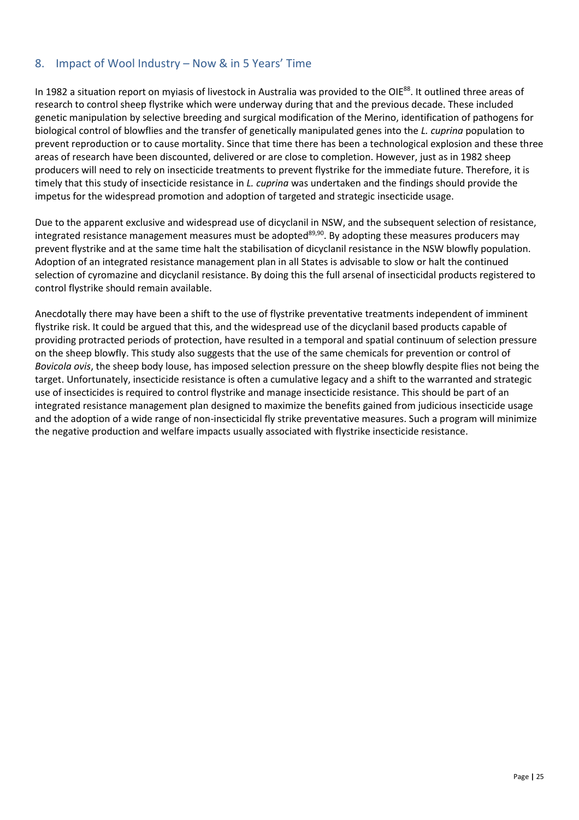#### <span id="page-24-0"></span>8. Impact of Wool Industry – Now & in 5 Years' Time

In 1982 a situation report on myiasis of livestock in Australia was provided to the OIE<sup>88</sup>. It outlined three areas of research to control sheep flystrike which were underway during that and the previous decade. These included genetic manipulation by selective breeding and surgical modification of the Merino, identification of pathogens for biological control of blowflies and the transfer of genetically manipulated genes into the *L. cuprina* population to prevent reproduction or to cause mortality. Since that time there has been a technological explosion and these three areas of research have been discounted, delivered or are close to completion. However, just as in 1982 sheep producers will need to rely on insecticide treatments to prevent flystrike for the immediate future. Therefore, it is timely that this study of insecticide resistance in *L. cuprina* was undertaken and the findings should provide the impetus for the widespread promotion and adoption of targeted and strategic insecticide usage.

Due to the apparent exclusive and widespread use of dicyclanil in NSW, and the subsequent selection of resistance, integrated resistance management measures must be adopted $89,90$ . By adopting these measures producers may prevent flystrike and at the same time halt the stabilisation of dicyclanil resistance in the NSW blowfly population. Adoption of an integrated resistance management plan in all States is advisable to slow or halt the continued selection of cyromazine and dicyclanil resistance. By doing this the full arsenal of insecticidal products registered to control flystrike should remain available.

Anecdotally there may have been a shift to the use of flystrike preventative treatments independent of imminent flystrike risk. It could be argued that this, and the widespread use of the dicyclanil based products capable of providing protracted periods of protection, have resulted in a temporal and spatial continuum of selection pressure on the sheep blowfly. This study also suggests that the use of the same chemicals for prevention or control of *Bovicola ovis*, the sheep body louse, has imposed selection pressure on the sheep blowfly despite flies not being the target. Unfortunately, insecticide resistance is often a cumulative legacy and a shift to the warranted and strategic use of insecticides is required to control flystrike and manage insecticide resistance. This should be part of an integrated resistance management plan designed to maximize the benefits gained from judicious insecticide usage and the adoption of a wide range of non-insecticidal fly strike preventative measures. Such a program will minimize the negative production and welfare impacts usually associated with flystrike insecticide resistance.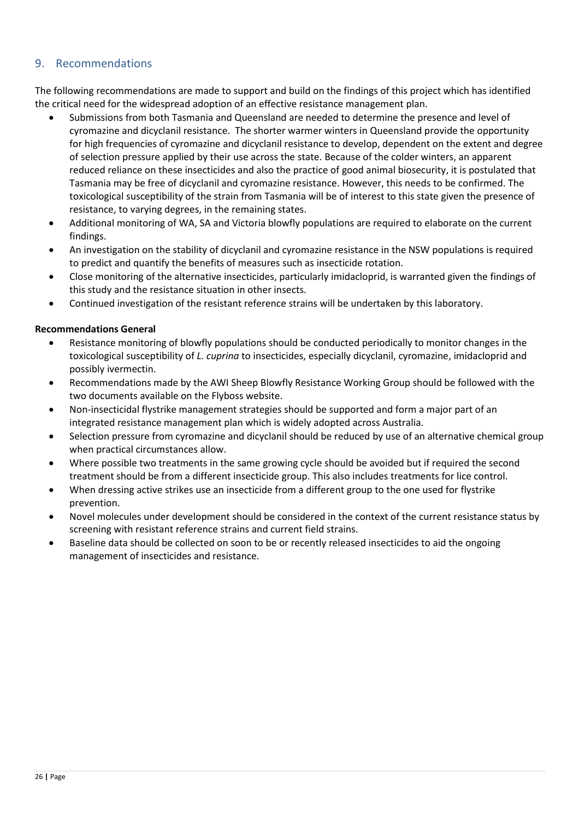#### <span id="page-25-0"></span>9. Recommendations

The following recommendations are made to support and build on the findings of this project which has identified the critical need for the widespread adoption of an effective resistance management plan.

- Submissions from both Tasmania and Queensland are needed to determine the presence and level of cyromazine and dicyclanil resistance. The shorter warmer winters in Queensland provide the opportunity for high frequencies of cyromazine and dicyclanil resistance to develop, dependent on the extent and degree of selection pressure applied by their use across the state. Because of the colder winters, an apparent reduced reliance on these insecticides and also the practice of good animal biosecurity, it is postulated that Tasmania may be free of dicyclanil and cyromazine resistance. However, this needs to be confirmed. The toxicological susceptibility of the strain from Tasmania will be of interest to this state given the presence of resistance, to varying degrees, in the remaining states.
- Additional monitoring of WA, SA and Victoria blowfly populations are required to elaborate on the current findings.
- An investigation on the stability of dicyclanil and cyromazine resistance in the NSW populations is required to predict and quantify the benefits of measures such as insecticide rotation.
- Close monitoring of the alternative insecticides, particularly imidacloprid, is warranted given the findings of this study and the resistance situation in other insects.
- Continued investigation of the resistant reference strains will be undertaken by this laboratory.

#### **Recommendations General**

- Resistance monitoring of blowfly populations should be conducted periodically to monitor changes in the toxicological susceptibility of *L. cuprina* to insecticides, especially dicyclanil, cyromazine, imidacloprid and possibly ivermectin.
- Recommendations made by the AWI Sheep Blowfly Resistance Working Group should be followed with the two documents available on the Flyboss website.
- Non-insecticidal flystrike management strategies should be supported and form a major part of an integrated resistance management plan which is widely adopted across Australia.
- Selection pressure from cyromazine and dicyclanil should be reduced by use of an alternative chemical group when practical circumstances allow.
- Where possible two treatments in the same growing cycle should be avoided but if required the second treatment should be from a different insecticide group. This also includes treatments for lice control.
- When dressing active strikes use an insecticide from a different group to the one used for flystrike prevention.
- Novel molecules under development should be considered in the context of the current resistance status by screening with resistant reference strains and current field strains.
- Baseline data should be collected on soon to be or recently released insecticides to aid the ongoing management of insecticides and resistance.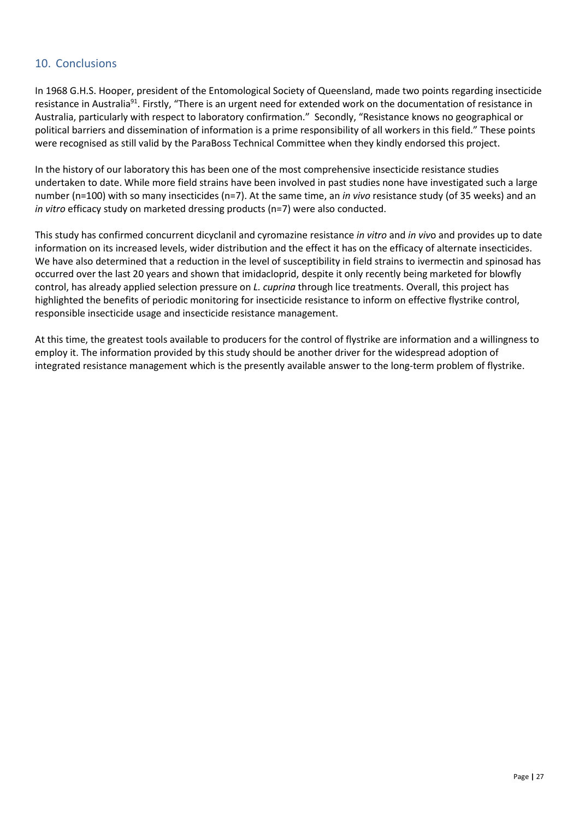#### <span id="page-26-0"></span>10. Conclusions

In 1968 G.H.S. Hooper, president of the Entomological Society of Queensland, made two points regarding insecticide resistance in Australia<sup>91</sup>. Firstly, "There is an urgent need for extended work on the documentation of resistance in Australia, particularly with respect to laboratory confirmation." Secondly, "Resistance knows no geographical or political barriers and dissemination of information is a prime responsibility of all workers in this field." These points were recognised as still valid by the ParaBoss Technical Committee when they kindly endorsed this project.

In the history of our laboratory this has been one of the most comprehensive insecticide resistance studies undertaken to date. While more field strains have been involved in past studies none have investigated such a large number (n=100) with so many insecticides (n=7). At the same time, an *in vivo* resistance study (of 35 weeks) and an *in vitro* efficacy study on marketed dressing products (n=7) were also conducted.

This study has confirmed concurrent dicyclanil and cyromazine resistance *in vitro* and *in viv*o and provides up to date information on its increased levels, wider distribution and the effect it has on the efficacy of alternate insecticides. We have also determined that a reduction in the level of susceptibility in field strains to ivermectin and spinosad has occurred over the last 20 years and shown that imidacloprid, despite it only recently being marketed for blowfly control, has already applied selection pressure on *L. cuprina* through lice treatments. Overall, this project has highlighted the benefits of periodic monitoring for insecticide resistance to inform on effective flystrike control, responsible insecticide usage and insecticide resistance management.

At this time, the greatest tools available to producers for the control of flystrike are information and a willingness to employ it. The information provided by this study should be another driver for the widespread adoption of integrated resistance management which is the presently available answer to the long-term problem of flystrike.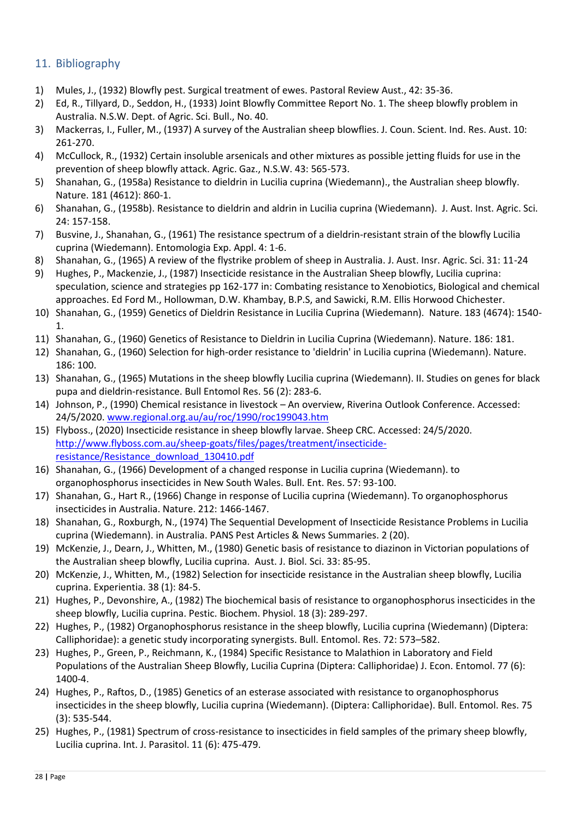#### <span id="page-27-0"></span>11. Bibliography

- 1) Mules, J., (1932) Blowfly pest. Surgical treatment of ewes. Pastoral Review Aust., 42: 35-36.
- 2) Ed, R., Tillyard, D., Seddon, H., (1933) Joint Blowfly Committee Report No. 1. The sheep blowfly problem in Australia. N.S.W. Dept. of Agric. Sci. Bull., No. 40.
- 3) Mackerras, I., Fuller, M., (1937) A survey of the Australian sheep blowflies. J. Coun. Scient. Ind. Res. Aust. 10: 261-270.
- 4) McCullock, R., (1932) Certain insoluble arsenicals and other mixtures as possible jetting fluids for use in the prevention of sheep blowfly attack. Agric. Gaz., N.S.W. 43: 565-573.
- 5) Shanahan, G., (1958a) Resistance to dieldrin in Lucilia cuprina (Wiedemann)., the Australian sheep blowfly. Nature. 181 (4612): 860-1.
- 6) Shanahan, G., (1958b). Resistance to dieldrin and aldrin in Lucilia cuprina (Wiedemann). J. Aust. Inst. Agric. Sci. 24: 157-158.
- 7) Busvine, J., Shanahan, G., (1961) The resistance spectrum of a dieldrin-resistant strain of the blowfly Lucilia cuprina (Wiedemann). Entomologia Exp. Appl. 4: 1-6.
- 8) Shanahan, G., (1965) A review of the flystrike problem of sheep in Australia. J. Aust. Insr. Agric. Sci. 31: 11-24
- 9) Hughes, P., Mackenzie, J., (1987) Insecticide resistance in the Australian Sheep blowfly, Lucilia cuprina: speculation, science and strategies pp 162-177 in: Combating resistance to Xenobiotics, Biological and chemical approaches. Ed Ford M., Hollowman, D.W. Khambay, B.P.S, and Sawicki, R.M. Ellis Horwood Chichester.
- 10) Shanahan, G., (1959) Genetics of Dieldrin Resistance in Lucilia Cuprina (Wiedemann). Nature. 183 (4674): 1540- 1.
- 11) Shanahan, G., (1960) Genetics of Resistance to Dieldrin in Lucilia Cuprina (Wiedemann). Nature. 186: 181.
- 12) Shanahan, G., (1960) Selection for high-order resistance to 'dieldrin' in Lucilia cuprina (Wiedemann). Nature. 186: 100.
- 13) Shanahan, G., (1965) Mutations in the sheep blowfly Lucilia cuprina (Wiedemann). II. Studies on genes for black pupa and dieldrin-resistance. Bull Entomol Res. 56 (2): 283-6.
- 14) Johnson, P., (1990) Chemical resistance in livestock An overview, Riverina Outlook Conference. Accessed: 24/5/2020. [www.regional.org.au/au/roc/1990/roc199043.htm](http://www.regional.org.au/au/roc/1990/roc199043.htm)
- 15) Flyboss., (2020) Insecticide resistance in sheep blowfly larvae. Sheep CRC. Accessed: 24/5/2020. [http://www.flyboss.com.au/sheep-goats/files/pages/treatment/insecticide](http://www.flyboss.com.au/sheep-goats/files/pages/treatment/insecticide-resistance/Resistance_download_130410.pdf)[resistance/Resistance\\_download\\_130410.pdf](http://www.flyboss.com.au/sheep-goats/files/pages/treatment/insecticide-resistance/Resistance_download_130410.pdf)
- 16) Shanahan, G., (1966) Development of a changed response in Lucilia cuprina (Wiedemann). to organophosphorus insecticides in New South Wales. Bull. Ent. Res. 57: 93-100.
- 17) Shanahan, G., Hart R., (1966) Change in response of Lucilia cuprina (Wiedemann). To organophosphorus insecticides in Australia. Nature. 212: 1466-1467.
- 18) Shanahan, G., Roxburgh, N., (1974) The Sequential Development of Insecticide Resistance Problems in Lucilia cuprina (Wiedemann). in Australia. PANS Pest Articles & News Summaries. 2 (20).
- 19) McKenzie, J., Dearn, J., Whitten, M., (1980) Genetic basis of resistance to diazinon in Victorian populations of the Australian sheep blowfly, Lucilia cuprina. Aust. J. Biol. Sci. 33: 85-95.
- 20) McKenzie, J., Whitten, M., (1982) Selection for insecticide resistance in the Australian sheep blowfly, Lucilia cuprina. Experientia. 38 (1): 84-5.
- 21) Hughes, P., Devonshire, A., (1982) The biochemical basis of resistance to organophosphorus insecticides in the sheep blowfly, Lucilia cuprina. Pestic. Biochem. Physiol. 18 (3): 289-297.
- 22) Hughes, P., (1982) Organophosphorus resistance in the sheep blowfly, Lucilia cuprina (Wiedemann) (Diptera: Calliphoridae): a genetic study incorporating synergists. Bull. Entomol. Res. 72: 573–582.
- 23) Hughes, P., Green, P., Reichmann, K., (1984) Specific Resistance to Malathion in Laboratory and Field Populations of the Australian Sheep Blowfly, Lucilia Cuprina (Diptera: Calliphoridae) J. Econ. Entomol. 77 (6): 1400-4.
- 24) Hughes, P., Raftos, D., (1985) Genetics of an esterase associated with resistance to organophosphorus insecticides in the sheep blowfly, Lucilia cuprina (Wiedemann). (Diptera: Calliphoridae). Bull. Entomol. Res. 75 (3): 535-544.
- 25) Hughes, P., (1981) Spectrum of cross-resistance to insecticides in field samples of the primary sheep blowfly, Lucilia cuprina. Int. J. Parasitol. 11 (6): 475-479.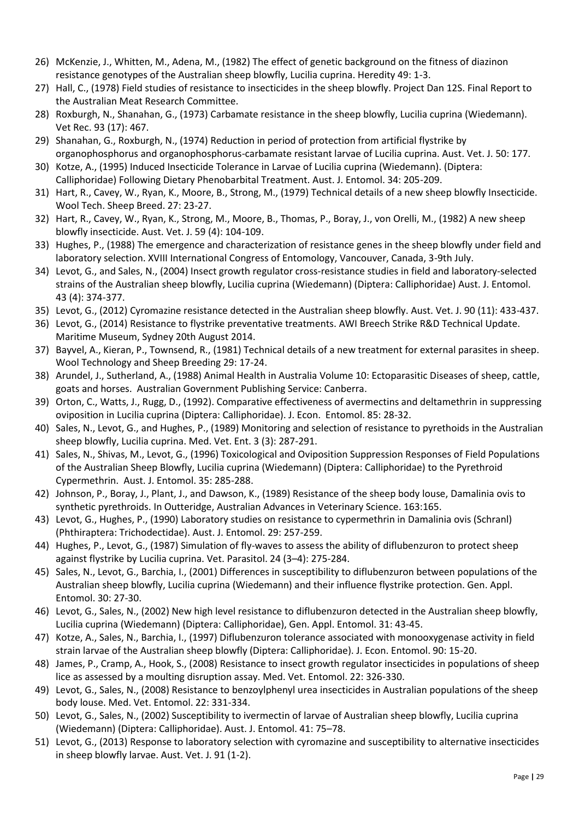- 26) McKenzie, J., Whitten, M., Adena, M., (1982) The effect of genetic background on the fitness of diazinon resistance genotypes of the Australian sheep blowfly, Lucilia cuprina. Heredity 49: 1-3.
- 27) Hall, C., (1978) Field studies of resistance to insecticides in the sheep blowfly. Project Dan 12S. Final Report to the Australian Meat Research Committee.
- 28) Roxburgh, N., Shanahan, G., (1973) Carbamate resistance in the sheep blowfly, Lucilia cuprina (Wiedemann). Vet Rec. 93 (17): 467.
- 29) Shanahan, G., Roxburgh, N., (1974) Reduction in period of protection from artificial flystrike by organophosphorus and organophosphorus-carbamate resistant larvae of Lucilia cuprina. Aust. Vet. J. 50: 177.
- 30) Kotze, A., (1995) Induced Insecticide Tolerance in Larvae of Lucilia cuprina (Wiedemann). (Diptera: Calliphoridae) Following Dietary Phenobarbital Treatment. Aust. J. Entomol. 34: 205-209.
- 31) Hart, R., Cavey, W., Ryan, K., Moore, B., Strong, M., (1979) Technical details of a new sheep blowfly Insecticide. Wool Tech. Sheep Breed. 27: 23-27.
- 32) Hart, R., Cavey, W., Ryan, K., Strong, M., Moore, B., Thomas, P., Boray, J., von Orelli, M., (1982) A new sheep blowfly insecticide. Aust. Vet. J. 59 (4): 104-109.
- 33) Hughes, P., (1988) The emergence and characterization of resistance genes in the sheep blowfly under field and laboratory selection. XVIII International Congress of Entomology, Vancouver, Canada, 3-9th July.
- 34) Levot, G., and Sales, N., (2004) Insect growth regulator cross-resistance studies in field and laboratory-selected strains of the Australian sheep blowfly, Lucilia cuprina (Wiedemann) (Diptera: Calliphoridae) Aust. J. Entomol. 43 (4): 374-377.
- 35) Levot, G., (2012) Cyromazine resistance detected in the Australian sheep blowfly. Aust. Vet. J. 90 (11): 433-437.
- 36) Levot, G., (2014) Resistance to flystrike preventative treatments. AWI Breech Strike R&D Technical Update. Maritime Museum, Sydney 20th August 2014.
- 37) Bayvel, A., Kieran, P., Townsend, R., (1981) Technical details of a new treatment for external parasites in sheep. Wool Technology and Sheep Breeding 29: 17-24.
- 38) Arundel, J., Sutherland, A., (1988) Animal Health in Australia Volume 10: Ectoparasitic Diseases of sheep, cattle, goats and horses. Australian Government Publishing Service: Canberra.
- 39) Orton, C., Watts, J., Rugg, D., (1992). Comparative effectiveness of avermectins and deltamethrin in suppressing oviposition in Lucilia cuprina (Diptera: Calliphoridae). J. Econ. Entomol. 85: 28-32.
- 40) Sales, N., Levot, G., and Hughes, P., (1989) Monitoring and selection of resistance to pyrethoids in the Australian sheep blowfly, Lucilia cuprina. Med. Vet. Ent. 3 (3): 287-291.
- 41) Sales, N., Shivas, M., Levot, G., (1996) Toxicological and Oviposition Suppression Responses of Field Populations of the Australian Sheep Blowfly, Lucilia cuprina (Wiedemann) (Diptera: Calliphoridae) to the Pyrethroid Cypermethrin. Aust. J. Entomol. 35: 285-288.
- 42) Johnson, P., Boray, J., Plant, J., and Dawson, K., (1989) Resistance of the sheep body louse, Damalinia ovis to synthetic pyrethroids. In Outteridge, Australian Advances in Veterinary Science. 163:165.
- 43) Levot, G., Hughes, P., (1990) Laboratory studies on resistance to cypermethrin in Damalinia ovis (Schranl) (Phthiraptera: Trichodectidae). Aust. J. Entomol. 29: 257-259.
- 44) Hughes, P., Levot, G., (1987) Simulation of fly-waves to assess the ability of diflubenzuron to protect sheep against flystrike by Lucilia cuprina. Vet. Parasitol. 24 (3–4): 275-284.
- 45) Sales, N., Levot, G., Barchia, I., (2001) Differences in susceptibility to diflubenzuron between populations of the Australian sheep blowfly, Lucilia cuprina (Wiedemann) and their influence flystrike protection. Gen. Appl. Entomol. 30: 27-30.
- 46) Levot, G., Sales, N., (2002) New high level resistance to diflubenzuron detected in the Australian sheep blowfly, Lucilia cuprina (Wiedemann) (Diptera: Calliphoridae), Gen. Appl. Entomol. 31: 43-45.
- 47) Kotze, A., Sales, N., Barchia, I., (1997) Diflubenzuron tolerance associated with monooxygenase activity in field strain larvae of the Australian sheep blowfly (Diptera: Calliphoridae). J. Econ. Entomol. 90: 15-20.
- 48) James, P., Cramp, A., Hook, S., (2008) Resistance to insect growth regulator insecticides in populations of sheep lice as assessed by a moulting disruption assay. Med. Vet. Entomol. 22: 326-330.
- 49) Levot, G., Sales, N., (2008) Resistance to benzoylphenyl urea insecticides in Australian populations of the sheep body louse. Med. Vet. Entomol. 22: 331-334.
- 50) Levot, G., Sales, N., (2002) Susceptibility to ivermectin of larvae of Australian sheep blowfly, Lucilia cuprina (Wiedemann) (Diptera: Calliphoridae). Aust. J. Entomol. 41: 75–78.
- 51) Levot, G., (2013) Response to laboratory selection with cyromazine and susceptibility to alternative insecticides in sheep blowfly larvae. Aust. Vet. J. 91 (1-2).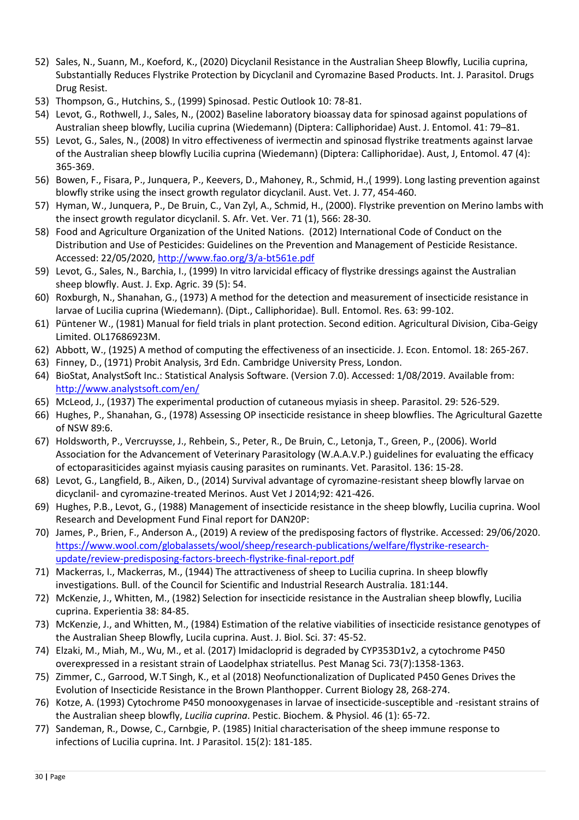- 52) Sales, N., Suann, M., Koeford, K., (2020) Dicyclanil Resistance in the Australian Sheep Blowfly, Lucilia cuprina, Substantially Reduces Flystrike Protection by Dicyclanil and Cyromazine Based Products. Int. J. Parasitol. Drugs Drug Resist.
- 53) Thompson, G., Hutchins, S., (1999) Spinosad. Pestic Outlook 10: 78-81.
- 54) Levot, G., Rothwell, J., Sales, N., (2002) Baseline laboratory bioassay data for spinosad against populations of Australian sheep blowfly, Lucilia cuprina (Wiedemann) (Diptera: Calliphoridae) Aust. J. Entomol. 41: 79–81.
- 55) Levot, G., Sales, N., (2008) In vitro effectiveness of ivermectin and spinosad flystrike treatments against larvae of the Australian sheep blowfly Lucilia cuprina (Wiedemann) (Diptera: Calliphoridae). Aust, J, Entomol. 47 (4): 365-369.
- 56) Bowen, F., Fisara, P., Junquera, P., Keevers, D., Mahoney, R., Schmid, H.,( 1999). Long lasting prevention against blowfly strike using the insect growth regulator dicyclanil. Aust. Vet. J. 77, 454-460.
- 57) Hyman, W., Junquera, P., De Bruin, C., Van Zyl, A., Schmid, H., (2000). Flystrike prevention on Merino lambs with the insect growth regulator dicyclanil. S. Afr. Vet. Ver. 71 (1), 566: 28-30.
- 58) Food and Agriculture Organization of the United Nations. (2012) International Code of Conduct on the Distribution and Use of Pesticides: Guidelines on the Prevention and Management of Pesticide Resistance. Accessed: 22/05/2020,<http://www.fao.org/3/a-bt561e.pdf>
- 59) Levot, G., Sales, N., Barchia, I., (1999) In vitro larvicidal efficacy of flystrike dressings against the Australian sheep blowfly. Aust. J. Exp. Agric. 39 (5): 54.
- 60) Roxburgh, N., Shanahan, G., (1973) A method for the detection and measurement of insecticide resistance in larvae of Lucilia cuprina (Wiedemann). (Dipt., Calliphoridae). Bull. Entomol. Res. 63: 99-102.
- 61) Püntener W., (1981) Manual for field trials in plant protection. Second edition. Agricultural Division, Ciba-Geigy Limited. OL17686923M.
- 62) Abbott, W., (1925) A method of computing the effectiveness of an insecticide. J. Econ. Entomol. 18: 265-267.
- 63) Finney, D., (1971) Probit Analysis, 3rd Edn. Cambridge University Press, London.
- 64) BioStat, AnalystSoft Inc.: Statistical Analysis Software. (Version 7.0). Accessed: 1/08/2019. Available from: <http://www.analystsoft.com/en/>
- 65) McLeod, J., (1937) The experimental production of cutaneous myiasis in sheep. Parasitol. 29: 526-529.
- 66) Hughes, P., Shanahan, G., (1978) Assessing OP insecticide resistance in sheep blowflies. The Agricultural Gazette of NSW 89:6.
- 67) Holdsworth, P., Vercruysse, J., Rehbein, S., Peter, R., De Bruin, C., Letonja, T., Green, P., (2006). World Association for the Advancement of Veterinary Parasitology (W.A.A.V.P.) guidelines for evaluating the efficacy of ectoparasiticides against myiasis causing parasites on ruminants. Vet. Parasitol. 136: 15-28.
- 68) Levot, G., Langfield, B., Aiken, D., (2014) Survival advantage of cyromazine-resistant sheep blowfly larvae on dicyclanil- and cyromazine-treated Merinos. Aust Vet J 2014;92: 421-426.
- 69) Hughes, P.B., Levot, G., (1988) Management of insecticide resistance in the sheep blowfly, Lucilia cuprina. Wool Research and Development Fund Final report for DAN20P:
- 70) James, P., Brien, F., Anderson A., (2019) A review of the predisposing factors of flystrike. Accessed: 29/06/2020. [https://www.wool.com/globalassets/wool/sheep/research-publications/welfare/flystrike-research](https://www.wool.com/globalassets/wool/sheep/research-publications/welfare/flystrike-research-update/review-predisposing-factors-breech-flystrike-final-report.pdf)[update/review-predisposing-factors-breech-flystrike-final-report.pdf](https://www.wool.com/globalassets/wool/sheep/research-publications/welfare/flystrike-research-update/review-predisposing-factors-breech-flystrike-final-report.pdf)
- 71) Mackerras, I., Mackerras, M., (1944) The attractiveness of sheep to Lucilia cuprina. In sheep blowfly investigations. Bull. of the Council for Scientific and Industrial Research Australia. 181:144.
- 72) McKenzie, J., Whitten, M., (1982) Selection for insecticide resistance in the Australian sheep blowfly, Lucilia cuprina. Experientia 38: 84-85.
- 73) McKenzie, J., and Whitten, M., (1984) Estimation of the relative viabilities of insecticide resistance genotypes of the Australian Sheep Blowfly, Lucila cuprina. Aust. J. Biol. Sci. 37: 45-52.
- 74) Elzaki, M., Miah, M., Wu, M., et al. (2017) Imidacloprid is degraded by CYP353D1v2, a cytochrome P450 overexpressed in a resistant strain of Laodelphax striatellus. Pest Manag Sci. 73(7):1358-1363.
- 75) Zimmer, C., Garrood, W.T Singh, K., et al (2018) Neofunctionalization of Duplicated P450 Genes Drives the Evolution of Insecticide Resistance in the Brown Planthopper. Current Biology 28, 268-274.
- 76) Kotze, A. (1993) Cytochrome P450 monooxygenases in larvae of insecticide-susceptible and -resistant strains of the Australian sheep blowfly, *Lucilia cuprina*. Pestic. Biochem. & Physiol. 46 (1): 65-72.
- 77) Sandeman, R., Dowse, C., Carnbgie, P. (1985) Initial characterisation of the sheep immune response to infections of Lucilia cuprina. Int. J Parasitol. 15(2): 181-185.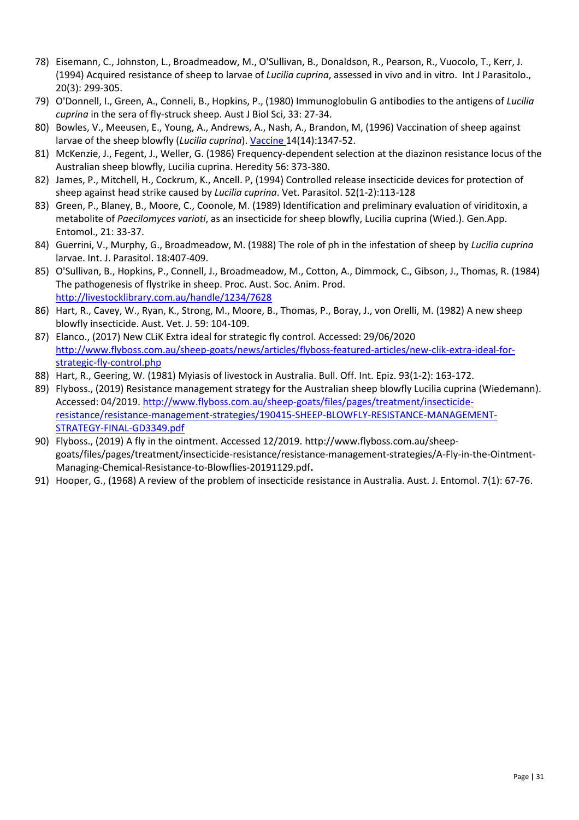- 78) Eisemann, C., Johnston, L., Broadmeadow, M., O'Sullivan, B., Donaldson, R., Pearson, R., Vuocolo, T., Kerr, J. (1994) Acquired resistance of sheep to larvae of *Lucilia cuprina*, assessed in vivo and in vitro. Int J Parasitolo., 20(3): 299-305.
- 79) O'Donnell, I., Green, A., Conneli, B., Hopkins, P., (1980) Immunoglobulin G antibodies to the antigens of *Lucilia cuprina* in the sera of fly-struck sheep. Aust J Biol Sci, 33: 27-34.
- 80) Bowles, V., Meeusen, E., Young, A., Andrews, A., Nash, A., Brandon, M, (1996) Vaccination of sheep against larvae of the sheep blowfly (*Lucilia cuprina*). [Vaccine](https://www.researchgate.net/journal/0264-410X_Vaccine) 14(14):1347-52.
- 81) McKenzie, J., Fegent, J., Weller, G. (1986) Frequency-dependent selection at the diazinon resistance locus of the Australian sheep blowfly, Lucilia cuprina. Heredity 56: 373-380.
- 82) James, P., Mitchell, H., Cockrum, K., Ancell. P, (1994) Controlled release insecticide devices for protection of sheep against head strike caused by *Lucilia cuprina*. Vet. Parasitol. 52(1-2):113-128
- 83) Green, P., Blaney, B., Moore, C., Coonole, M. (1989) Identification and preliminary evaluation of viriditoxin, a metabolite of *Paecilomyces varioti*, as an insecticide for sheep blowfly, Lucilia cuprina (Wied.). Gen.App. Entomol., 21: 33-37.
- 84) Guerrini, V., Murphy, G., Broadmeadow, M. (1988) The role of ph in the infestation of sheep by *Lucilia cuprina* larvae. Int. J. Parasitol. 18:407-409.
- 85) O'Sullivan, B., Hopkins, P., Connell, J., Broadmeadow, M., Cotton, A., Dimmock, C., Gibson, J., Thomas, R. (1984) The pathogenesis of flystrike in sheep. Proc. Aust. Soc. Anim. Prod. <http://livestocklibrary.com.au/handle/1234/7628>
- 86) Hart, R., Cavey, W., Ryan, K., Strong, M., Moore, B., Thomas, P., Boray, J., von Orelli, M. (1982) A new sheep blowfly insecticide. Aust. Vet. J. 59: 104-109.
- 87) Elanco., (2017) New CLiK Extra ideal for strategic fly control. Accessed: 29/06/2020 [http://www.flyboss.com.au/sheep-goats/news/articles/flyboss-featured-articles/new-clik-extra-ideal-for](http://www.flyboss.com.au/sheep-goats/news/articles/flyboss-featured-articles/new-clik-extra-ideal-for-strategic-fly-control.php)[strategic-fly-control.php](http://www.flyboss.com.au/sheep-goats/news/articles/flyboss-featured-articles/new-clik-extra-ideal-for-strategic-fly-control.php)
- 88) Hart, R., Geering, W. (1981) Myiasis of livestock in Australia. Bull. Off. Int. Epiz. 93(1-2): 163-172.
- 89) Flyboss., (2019) Resistance management strategy for the Australian sheep blowfly Lucilia cuprina (Wiedemann). Accessed: 04/2019[. http://www.flyboss.com.au/sheep-goats/files/pages/treatment/insecticide](http://www.flyboss.com.au/sheep-goats/files/pages/treatment/insecticide-resistance/resistance-management-strategies/190415-SHEEP-BLOWFLY-RESISTANCE-MANAGEMENT-STRATEGY-FINAL-GD3349.pdf)[resistance/resistance-management-strategies/190415-SHEEP-BLOWFLY-RESISTANCE-MANAGEMENT-](http://www.flyboss.com.au/sheep-goats/files/pages/treatment/insecticide-resistance/resistance-management-strategies/190415-SHEEP-BLOWFLY-RESISTANCE-MANAGEMENT-STRATEGY-FINAL-GD3349.pdf)[STRATEGY-FINAL-GD3349.pdf](http://www.flyboss.com.au/sheep-goats/files/pages/treatment/insecticide-resistance/resistance-management-strategies/190415-SHEEP-BLOWFLY-RESISTANCE-MANAGEMENT-STRATEGY-FINAL-GD3349.pdf)
- 90) Flyboss., (2019) A fly in the ointment. Accessed 12/2019. http://www.flyboss.com.au/sheepgoats/files/pages/treatment/insecticide-resistance/resistance-management-strategies/A-Fly-in-the-Ointment-Managing-Chemical-Resistance-to-Blowflies-20191129.pdf**.**
- 91) Hooper, G., (1968) A review of the problem of insecticide resistance in Australia. Aust. J. Entomol. 7(1): 67-76.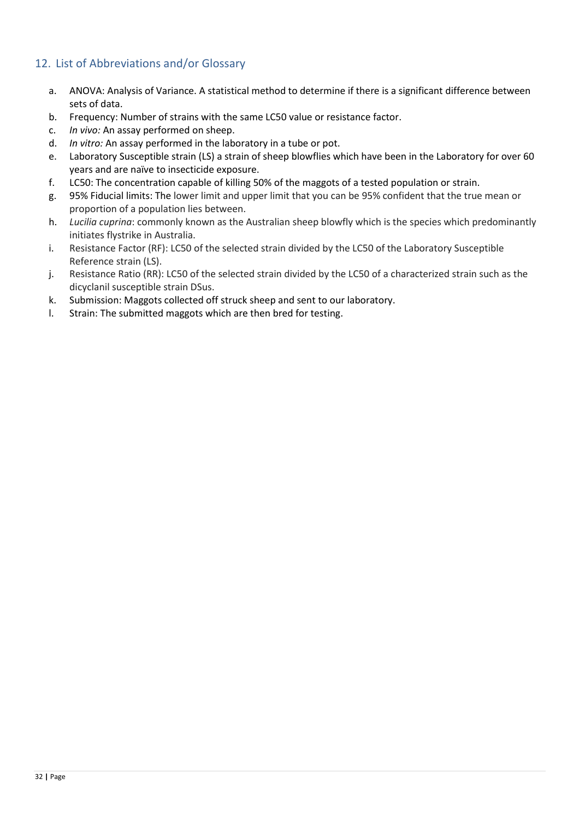#### <span id="page-31-0"></span>12. List of Abbreviations and/or Glossary

- a. ANOVA: Analysis of Variance. A statistical method to determine if there is a significant difference between sets of data.
- b. Frequency: Number of strains with the same LC50 value or resistance factor.
- c. *In vivo:* An assay performed on sheep.
- d. *In vitro:* An assay performed in the laboratory in a tube or pot.
- e. Laboratory Susceptible strain (LS) a strain of sheep blowflies which have been in the Laboratory for over 60 years and are naïve to insecticide exposure.
- f. LC50: The concentration capable of killing 50% of the maggots of a tested population or strain.
- g. 95% Fiducial limits: The lower limit and upper limit that you can be 95% confident that the true mean or proportion of a population lies between.
- h. *Lucilia cuprina*: commonly known as the Australian sheep blowfly which is the species which predominantly initiates flystrike in Australia.
- i. Resistance Factor (RF): LC50 of the selected strain divided by the LC50 of the Laboratory Susceptible Reference strain (LS).
- j. Resistance Ratio (RR): LC50 of the selected strain divided by the LC50 of a characterized strain such as the dicyclanil susceptible strain DSus.
- k. Submission: Maggots collected off struck sheep and sent to our laboratory.
- l. Strain: The submitted maggots which are then bred for testing.